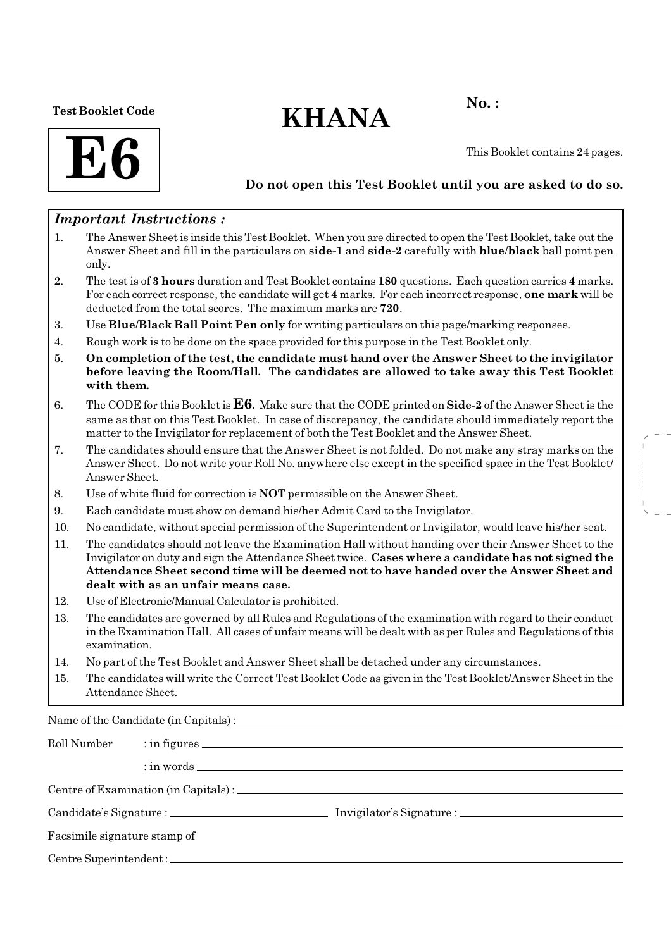Test Booklet Code

# $KHANA$  No.:

**E6** 

This Booklet contains 24 pages.

## Do not open this Test Booklet until you are asked to do so.

## Important Instructions :

- 1. The Answer Sheet is inside this Test Booklet. When you are directed to open the Test Booklet, take out the Answer Sheet and fill in the particulars on side-1 and side-2 carefully with blue/black ball point pen only.
- 2. The test is of 3 hours duration and Test Booklet contains 180 questions. Each question carries 4 marks. For each correct response, the candidate will get 4 marks. For each incorrect response, one mark will be deducted from the total scores. The maximum marks are 720.
- 3. Use Blue/Black Ball Point Pen only for writing particulars on this page/marking responses.
- 4. Rough work is to be done on the space provided for this purpose in the Test Booklet only.
- 5. On completion of the test, the candidate must hand over the Answer Sheet to the invigilator before leaving the Room/Hall. The candidates are allowed to take away this Test Booklet with them.
- 6. The CODE for this Booklet is  $E6$ . Make sure that the CODE printed on Side-2 of the Answer Sheet is the same as that on this Test Booklet. In case of discrepancy, the candidate should immediately report the matter to the Invigilator for replacement of both the Test Booklet and the Answer Sheet.
- 7. The candidates should ensure that the Answer Sheet is not folded. Do not make any stray marks on the Answer Sheet. Do not write your Roll No. anywhere else except in the specified space in the Test Booklet/ Answer Sheet.
- 8. Use of white fluid for correction is NOT permissible on the Answer Sheet.
- 9. Each candidate must show on demand his/her Admit Card to the Invigilator.
- 10. No candidate, without special permission of the Superintendent or Invigilator, would leave his/her seat.
- 11. The candidates should not leave the Examination Hall without handing over their Answer Sheet to the Invigilator on duty and sign the Attendance Sheet twice. Cases where a candidate has not signed the Attendance Sheet second time will be deemed not to have handed over the Answer Sheet and dealt with as an unfair means case.
- 12. Use of Electronic/Manual Calculator is prohibited.
- 13. The candidates are governed by all Rules and Regulations of the examination with regard to their conduct in the Examination Hall. All cases of unfair means will be dealt with as per Rules and Regulations of this examination.
- 14. No part of the Test Booklet and Answer Sheet shall be detached under any circumstances.
- 15. The candidates will write the Correct Test Booklet Code as given in the Test Booklet/Answer Sheet in the Attendance Sheet.

Name of the Candidate (in Capitals) :

| Roll Number                  |  |  |  |  |  |  |  |
|------------------------------|--|--|--|--|--|--|--|
|                              |  |  |  |  |  |  |  |
|                              |  |  |  |  |  |  |  |
|                              |  |  |  |  |  |  |  |
| Facsimile signature stamp of |  |  |  |  |  |  |  |
|                              |  |  |  |  |  |  |  |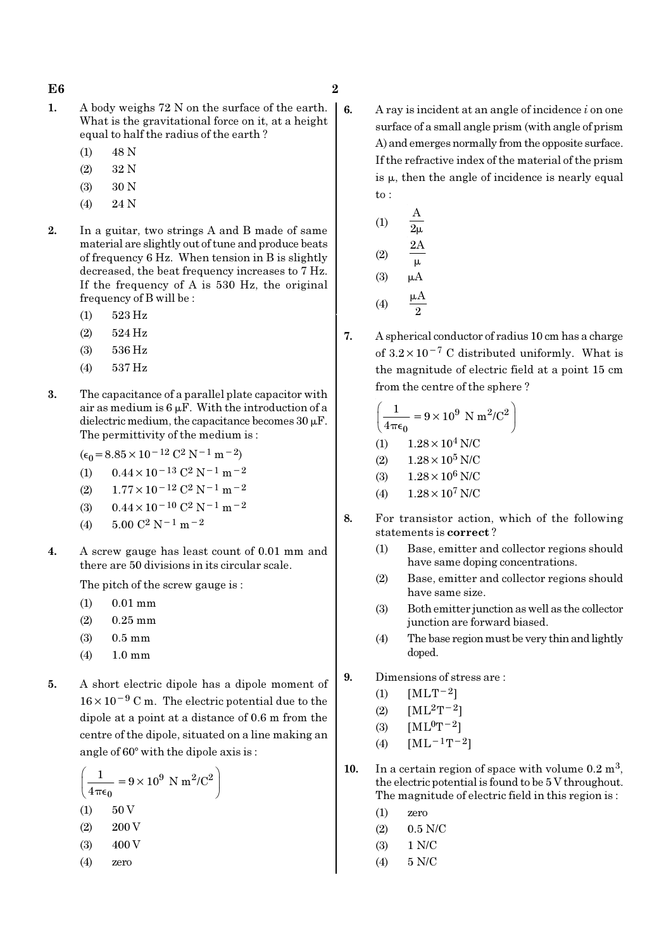- 1. A body weighs 72 N on the surface of the earth. What is the gravitational force on it, at a height equal to half the radius of the earth ?
	- (1) 48 N
	- (2) 32 N
	- (3) 30 N
	- (4) 24 N
- 2. In a guitar, two strings A and B made of same material are slightly out of tune and produce beats of frequency 6 Hz. When tension in B is slightly decreased, the beat frequency increases to 7 Hz. If the frequency of A is 530 Hz, the original frequency of B will be :
	- (1) 523 Hz
	- (2) 524 Hz
	- (3) 536 Hz
	- (4) 537 Hz
- 3. The capacitance of a parallel plate capacitor with air as medium is  $6 \mu$ F. With the introduction of a dielectric medium, the capacitance becomes  $30 \mu$ F. The permittivity of the medium is :
	- $(\epsilon_0$  = 8.85 × 10<sup>-12</sup> C<sup>2</sup> N<sup>-1</sup> m<sup>-2</sup>)
	- (1)  $0.44 \times 10^{-13}$  C<sup>2</sup> N<sup>-1</sup> m<sup>-2</sup>
	- (2)  $1.77 \times 10^{-12}$  C<sup>2</sup> N<sup>-1</sup> m<sup>-2</sup>
	- (3)  $0.44 \times 10^{-10}$  C<sup>2</sup> N<sup>-1</sup> m<sup>-2</sup>
	- (4)  $5.00 \text{ C}^2 \text{ N}^{-1} \text{ m}^{-2}$
- 4. A screw gauge has least count of 0.01 mm and there are 50 divisions in its circular scale.

The pitch of the screw gauge is :

- (1) 0.01 mm
- (2) 0.25 mm
- (3) 0.5 mm
- (4) 1.0 mm
- 5. A short electric dipole has a dipole moment of 16×10−<sup>9</sup> C m. The electric potential due to the dipole at a point at a distance of 0.6 m from the centre of the dipole, situated on a line making an angle of  $60^\circ$  with the dipole axis is:

$$
\left(\frac{1}{4\pi\epsilon_0} = 9 \times 10^9 \text{ N m}^2/\text{C}^2\right)
$$
  
(1) 50 V

- (2) 200 V
- $(3)$  400 V
- (4) zero

6. A ray is incident at an angle of incidence  $i$  on one surface of a small angle prism (with angle of prism A) and emerges normally from the opposite surface. If the refractive index of the material of the prism is  $\mu$ , then the angle of incidence is nearly equal to :

(1) 
$$
\frac{A}{2\mu}
$$
  
\n(2)  $\frac{2A}{\mu}$   
\n(3)  $\mu A$   
\n(4)  $\frac{\mu A}{2}$ 

7. A spherical conductor of radius 10 cm has a charge of  $3.2 \times 10^{-7}$  C distributed uniformly. What is the magnitude of electric field at a point 15 cm from the centre of the sphere ?

$$
\left(\frac{1}{4\pi\epsilon_0} = 9 \times 10^9 \text{ N m}^2/\text{C}^2\right)
$$
  
(1) 1.28×10<sup>4</sup> N/C  
(2) 1.28×10<sup>5</sup> N/C

- (3)  $1.28 \times 10^6$  N/C
- (4)  $1.28 \times 10^7$  N/C
- 8. For transistor action, which of the following statements is correct ?
	- (1) Base, emitter and collector regions should have same doping concentrations.
	- (2) Base, emitter and collector regions should have same size.
	- (3) Both emitter junction as well as the collector junction are forward biased.
	- (4) The base region must be very thin and lightly doped.
- 9. Dimensions of stress are :
	- (1)  $[MLT^{-2}]$
	- (2)  $[ML^2T^{-2}]$
	- (3)  $[ML^0T^{-2}]$
	- (4)  $[ML^{-1}T^{-2}]$
- 10. In a certain region of space with volume  $0.2 \text{ m}^3$ , the electric potential is found to be 5 V throughout. The magnitude of electric field in this region is :
	- (1) zero
	- $(2)$  0.5 N/C
	- (3) 1 N/C
	- (4) 5 N/C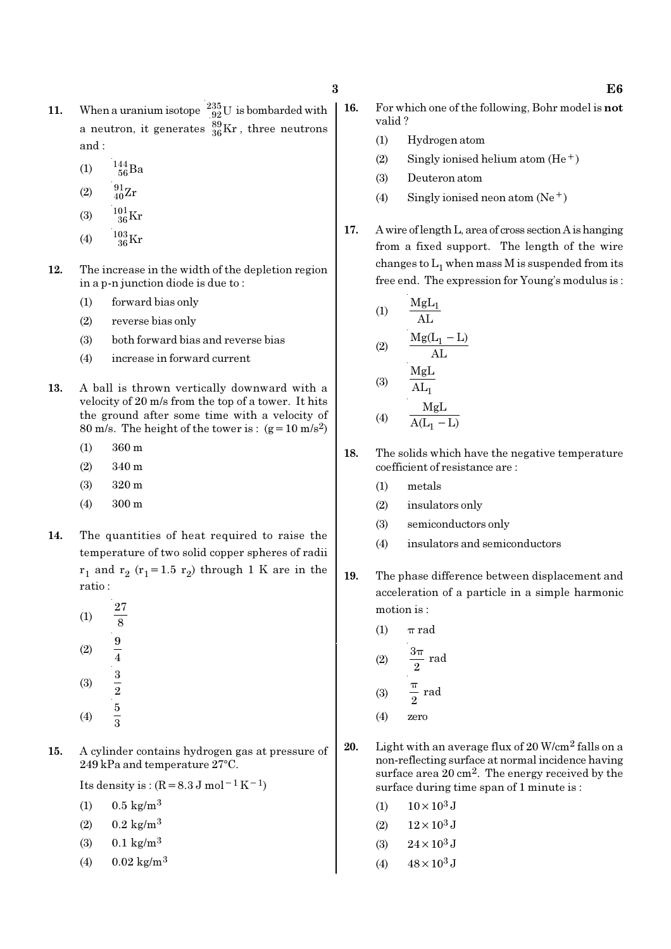- 11. When a uranium isotope  $^{235}_{92}$ U is bombarded with a neutron, it generates  $^{89}_{36}\text{Kr}$  , three neutrons and :
	- (1)  $\frac{144}{56}Ba$
	- (2)  $\frac{91}{40}Zr$
	- (3)  $\frac{101}{36}$ Kr
	- (4)  $\frac{103}{36}$ Kr
- 12. The increase in the width of the depletion region in a p-n junction diode is due to :
	- (1) forward bias only
	- (2) reverse bias only
	- (3) both forward bias and reverse bias
	- (4) increase in forward current
- 13. A ball is thrown vertically downward with a velocity of 20 m/s from the top of a tower. It hits the ground after some time with a velocity of 80 m/s. The height of the tower is :  $(g=10 \text{ m/s}^2)$ 
	- (1) 360 m
	- (2) 340 m
	- (3) 320 m
	- (4) 300 m
- 14. The quantities of heat required to raise the temperature of two solid copper spheres of radii  $r_1$  and  $r_2$  ( $r_1$ =1.5  $r_2$ ) through 1 K are in the ratio :
	- (1) 27 8 (2)  $\frac{9}{4}$ (3)  $\frac{3}{2}$ (4) 5 3
- 15. A cylinder contains hydrogen gas at pressure of  $249$  kPa and temperature  $27^{\circ}$ C.

Its density is :  $(R=8.3 \text{ J mol}^{-1} \text{ K}^{-1})$ 

- (1)  $0.5 \text{ kg/m}^3$
- (2)  $0.2 \text{ kg/m}^3$
- (3)  $0.1 \text{ kg/m}^3$
- $(4)$  0.02 kg/m<sup>3</sup>
- 16. For which one of the following, Bohr model is not valid ?
	- (1) Hydrogen atom
	- (2) Singly ionised helium atom  $(He<sup>+</sup>)$
	- (3) Deuteron atom
	- (4) Singly ionised neon atom  $(Ne^+)$
- 17. A wire of length L, area of cross section A is hanging from a fixed support. The length of the wire changes to  $\mathrm{L}_1$  when mass M is suspended from its free end. The expression for Young's modulus is :

(1) 
$$
\frac{MgL_1}{AL}
$$
  
(2) 
$$
\frac{Mg(L_1 - L)}{AL}
$$
  
(3) 
$$
\frac{MgL}{AL_1}
$$

$$
(4) \qquad \frac{MgL}{A(L_1 - L)}
$$

- 18. The solids which have the negative temperature coefficient of resistance are :
	- (1) metals
	- (2) insulators only
	- (3) semiconductors only
	- (4) insulators and semiconductors
- 19. The phase difference between displacement and acceleration of a particle in a simple harmonic motion is :
	- (1)  $\pi$  rad  $(2)$  $\frac{5\pi}{2}$  rad π  $(3)$   $\frac{1}{2}$  rad 2 π (4) zero
- 20. Light with an average flux of  $20$  W/cm<sup>2</sup> falls on a non-reflecting surface at normal incidence having surface area 20 cm<sup>2</sup>. The energy received by the surface during time span of 1 minute is :
	- (1)  $10 \times 10^3$  J
	- (2)  $12 \times 10^3$  J
	- (3)  $24 \times 10^3$  J
	- (4)  $48 \times 10^3$  J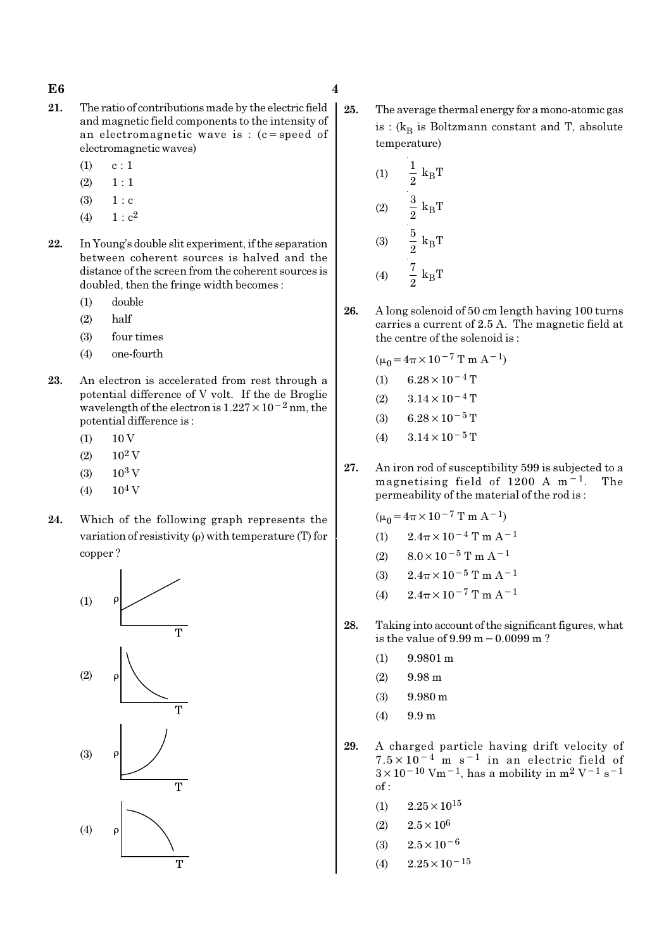#### $E6$  4

- 21. The ratio of contributions made by the electric field and magnetic field components to the intensity of an electromagnetic wave is :  $(c = speed of$ electromagnetic waves)
	- $(1)$  c : 1
	- $(2) \quad 1 : 1$
	- $(3) 1 : c$
	- (4)  $1 : c^2$
- 22. In Young's double slit experiment, if the separation between coherent sources is halved and the distance of the screen from the coherent sources is doubled, then the fringe width becomes :
	- (1) double
	- (2) half
	- (3) four times
	- (4) one-fourth
- 23. An electron is accelerated from rest through a potential difference of V volt. If the de Broglie wavelength of the electron is  $1.227 \times 10^{-2}$  nm, the potential difference is :
	- $(1)$  10 V
	- $(2)$  10<sup>2</sup> V
	- $(3)$  10<sup>3</sup> V
	- $(4)$  10<sup>4</sup> V
- 24. Which of the following graph represents the variation of resistivity  $(\rho)$  with temperature (T) for copper ?



25. The average thermal energy for a mono-atomic gas is : ( $\rm{k_{B}}$  is Boltzmann constant and T, absolute temperature)

(1) 
$$
\frac{1}{2} k_{B}T
$$
  
\n(2)  $\frac{3}{2} k_{B}T$   
\n(3)  $\frac{5}{2} k_{B}T$   
\n(4)  $\frac{7}{2} k_{B}T$ 

26. A long solenoid of 50 cm length having 100 turns carries a current of 2.5 A. The magnetic field at the centre of the solenoid is :

$$
(\mu_0 = 4\pi \times 10^{-7} \text{ T m A}^{-1})
$$
  
(1) 6.28 × 10<sup>-4</sup> T  
(2) 3.14 × 10<sup>-4</sup> T  
(3) 6.28 × 10<sup>-5</sup> T  
(4) 3.14 × 10<sup>-5</sup> T

27. An iron rod of susceptibility 599 is subjected to a magnetising field of 1200 A m−1. The permeability of the material of the rod is :

 $(\mu_0 = 4\pi \times 10^{-7} \text{ T m A}^{-1})$ 

- (1)  $2.4\pi \times 10^{-4}$  T m A<sup>-1</sup>
- (2)  $8.0 \times 10^{-5}$  T m A<sup>-1</sup>
- (3)  $2.4\pi \times 10^{-5}$  T m A<sup>-1</sup>
- (4)  $2.4\pi \times 10^{-7}$  T m A<sup>-1</sup>
- 28. Taking into account of the significant figures, what is the value of 9.99 m−0.0099 m ?
	- (1) 9.9801 m
	- $(2)$  9.98 m
	- (3) 9.980 m
	- (4) 9.9 m
- 29. A charged particle having drift velocity of  $7.5 \times 10^{-4}$  m s<sup>-1</sup> in an electric field of  $3\times10^{-10}$  Vm<sup>-1</sup>, has a mobility in m<sup>2</sup> V<sup>-1</sup> s<sup>-1</sup> of :
	- $(1)$  2.25  $\times$  10<sup>15</sup>
	- (2)  $2.5 \times 10^6$
	- (3)  $2.5 \times 10^{-6}$
	- (4)  $2.25 \times 10^{-15}$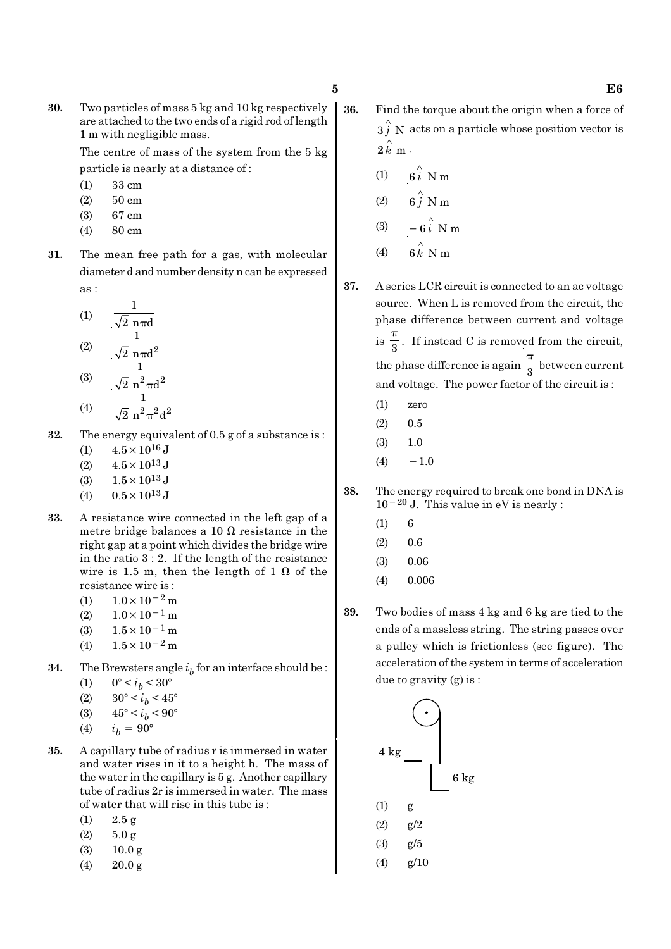30. Two particles of mass 5 kg and 10 kg respectively are attached to the two ends of a rigid rod of length 1 m with negligible mass.

> The centre of mass of the system from the 5 kg particle is nearly at a distance of :

- (1) 33 cm
- (2) 50 cm
- (3) 67 cm
- (4) 80 cm
- 31. The mean free path for a gas, with molecular diameter d and number density n can be expressed as :

(1) 
$$
\frac{1}{\sqrt{2} \text{ n} \pi d}
$$
  
(2) 
$$
\frac{1}{\sqrt{2} \text{ n} \pi d^2}
$$
  
(3) 
$$
\frac{1}{\sqrt{2} \text{ n}^2 \pi d^2}
$$

- (4)  $\sqrt{2} n^2 \pi^2 d^2$
- 32. The energy equivalent of 0.5 g of a substance is : (1)  $4.5 \times 10^{16}$  J
	- (2)  $4.5 \times 10^{13}$  J
	- (3)  $1.5 \times 10^{13}$  J
	- (4)  $0.5 \times 10^{13}$  J
- 33. A resistance wire connected in the left gap of a metre bridge balances a 10  $\Omega$  resistance in the right gap at a point which divides the bridge wire in the ratio 3 : 2. If the length of the resistance wire is 1.5 m, then the length of 1  $\Omega$  of the resistance wire is :
	- (1)  $1.0 \times 10^{-2}$  m
	- $(2)$  1.0×10<sup>-1</sup> m
	- (3)  $1.5 \times 10^{-1}$  m
	- (4)  $1.5 \times 10^{-2}$  m
- **34.** The Brewsters angle  $i_b$  for an interface should be :
	- (1)  $0^{\circ} < i_b < 30^{\circ}$
	- (2)  $30^{\circ} < i_b < 45^{\circ}$
	- (3)  $45^{\circ} < i_b < 90^{\circ}$
	- (4)  $i_h = 90^\circ$
- 35. A capillary tube of radius r is immersed in water and water rises in it to a height h. The mass of the water in the capillary is 5 g. Another capillary tube of radius 2r is immersed in water. The mass of water that will rise in this tube is :
	- (1)  $2.5 \text{ g}$
	- $(2)$  5.0 g
	- (3) 10.0 g
	- (4) 20.0 g
- 36. Find the torque about the origin when a force of  $3 \hat{j}$  N acts on a particle whose position vector is  $2 \hat{k}$  m.
	- (1)  $6i \stackrel{\wedge}{\smash{\wedge}} Nm$
	- (2)  $6\hat{j}$  N m
	- (3)  $-6\hat{i}$  N m
	- (4)  $6 \hat{k}$  N m
- 
- 37. A series LCR circuit is connected to an ac voltage source. When L is removed from the circuit, the phase difference between current and voltage  $is \frac{1}{3}$ π . If instead C is removed from the circuit, the phase difference is again  $\frac{1}{3}$ π between current and voltage. The power factor of the circuit is :
	- (1) zero
	- $(2)$  0.5
	- (3) 1.0
	- $(4) -1.0$
- 38. The energy required to break one bond in DNA is 10−20 J. This value in eV is nearly :
	- $(1) 6$
	- $(2)$  0.6
	- (3) 0.06
	- (4) 0.006
- 39. Two bodies of mass 4 kg and 6 kg are tied to the ends of a massless string. The string passes over a pulley which is frictionless (see figure). The acceleration of the system in terms of acceleration due to gravity (g) is :

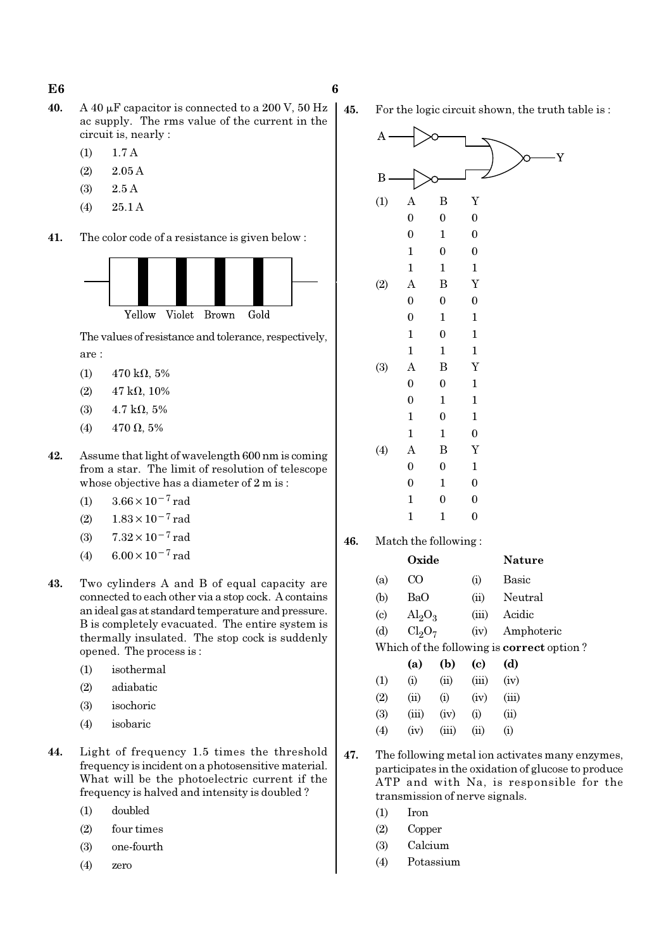- 40. A 40  $\mu$ F capacitor is connected to a 200 V, 50 Hz ac supply. The rms value of the current in the circuit is, nearly :
	- (1) 1.7 A
	- (2) 2.05 A
	- (3) 2.5 A
	- (4) 25.1 A
- 41. The color code of a resistance is given below :



The values of resistance and tolerance, respectively, are :

- $(1)$  470 kΩ, 5%
- (2)  $47 \text{ k}\Omega$ , 10%
- (3)  $4.7 \text{ k}\Omega, 5\%$
- (4)  $470 \Omega, 5\%$
- 42. Assume that light of wavelength 600 nm is coming from a star. The limit of resolution of telescope whose objective has a diameter of 2 m is :
	- (1)  $3.66 \times 10^{-7}$  rad
	- (2)  $1.83 \times 10^{-7}$  rad
	- (3)  $7.32 \times 10^{-7}$  rad
	- (4)  $6.00 \times 10^{-7}$  rad
- 43. Two cylinders A and B of equal capacity are connected to each other via a stop cock. A contains an ideal gas at standard temperature and pressure. B is completely evacuated. The entire system is thermally insulated. The stop cock is suddenly opened. The process is :
	- (1) isothermal
	- (2) adiabatic
	- (3) isochoric
	- (4) isobaric
- 44. Light of frequency 1.5 times the threshold frequency is incident on a photosensitive material. What will be the photoelectric current if the frequency is halved and intensity is doubled ?
	- (1) doubled
	- (2) four times
	- (3) one-fourth
	- (4) zero

45. For the logic circuit shown, the truth table is :



46. Match the following :

|     | Oxide                          |      |                                           | Nature             |
|-----|--------------------------------|------|-------------------------------------------|--------------------|
| (a) | CΟ                             |      | $\rm(i)$                                  | Basic              |
| (b) | BaO                            |      | (ii)                                      | Neutral            |
| (c) | $\text{Al}_2\text{O}_3$        |      | (iii)                                     | Acidic             |
| (d) | Cl <sub>2</sub> O <sub>7</sub> |      | (iv)                                      | Amphoteric         |
|     |                                |      | Which of the following is correct option? |                    |
|     | (a)                            | (b)  | (c)                                       | (d)                |
| (1) | (i)                            | (ii) | (iii)                                     | (iv)               |
| (2) | (ii)                           | (i)  | (iv)                                      | (iii)              |
| (3) | (iii)                          | (iv) | $\rm (i)$                                 | $\dot{\mathrm{u}}$ |

47. The following metal ion activates many enzymes, participates in the oxidation of glucose to produce ATP and with Na, is responsible for the transmission of nerve signals.

 $(4)$   $(iv)$   $(iii)$   $(ii)$   $(i)$ 

- (1) Iron
- (2) Copper
- (3) Calcium
- (4) Potassium

# $E6$  6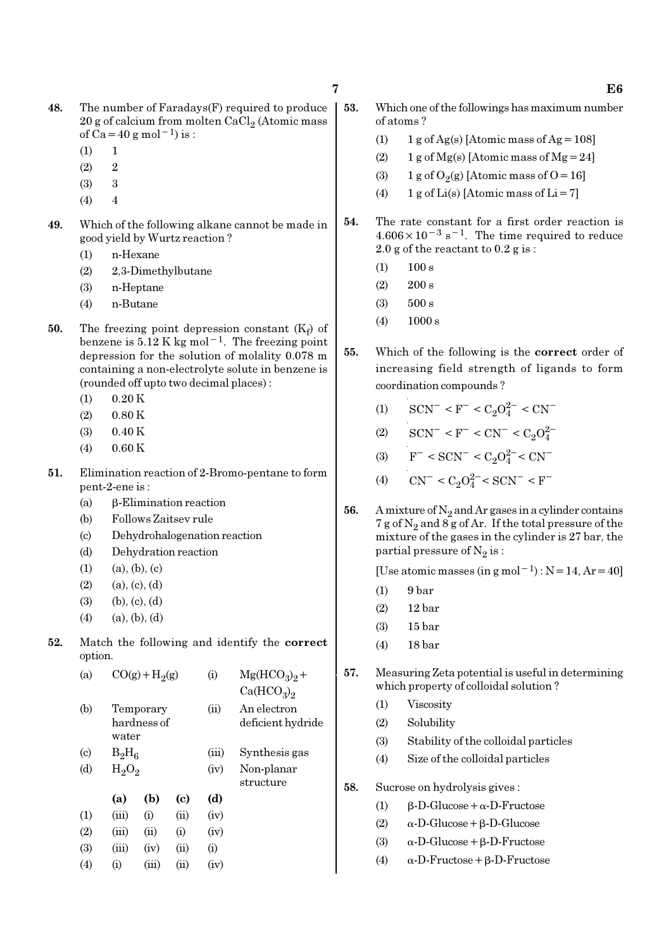- 48. The number of Faradays(F) required to produce  $20$  g of calcium from molten CaCl $_2$  (Atomic mass of Ca = 40 g mol<sup>-1</sup>) is :
	- $(1) 1$
	- $(2)$  2
	- $(3)$  3
	- $(4)$  4
- 49. Which of the following alkane cannot be made in good yield by Wurtz reaction ?
	- (1) n-Hexane
	- (2) 2,3-Dimethylbutane
	- (3) n-Heptane
	- (4) n-Butane
- **50.** The freezing point depression constant  $(K_f)$  of benzene is  $5.12$  K kg mol<sup>-1</sup>. The freezing point depression for the solution of molality 0.078 m containing a non-electrolyte solute in benzene is (rounded off upto two decimal places) :
	- $(1)$  0.20 K
	- $(2)$  0.80 K
	- (3) 0.40 K
	- (4) 0.60 K
- 51. Elimination reaction of 2-Bromo-pentane to form pent-2-ene is :
	- (a) β-Elimination reaction
	- (b) Follows Zaitsev rule
	- (c) Dehydrohalogenation reaction
	- (d) Dehydration reaction
	- $(1)$   $(a), (b), (c)$
	- $(2)$   $(a), (c), (d)$
	- $(3)$  (b),  $(c)$ ,  $(d)$
	- $(4)$   $(a), (b), (d)$
- 52. Match the following and identify the correct option.

| (a)                       |          | $CO(g) + H2(g)$          |      | $\rm(i)$ | $Mg(HCO_3)_2 +$                    |
|---------------------------|----------|--------------------------|------|----------|------------------------------------|
|                           |          |                          |      |          | Ca(HCO <sub>3</sub> ) <sub>2</sub> |
| (b)                       | water    | Temporary<br>hardness of |      | (ii)     | An electron<br>deficient hydride   |
| $\left( \text{c} \right)$ | $B_2H_6$ |                          |      | (iii)    | Synthesis gas                      |
| (d)                       | $H_2O_2$ |                          |      | (iv)     | Non-planar<br>structure            |
|                           | (a)      | (b)                      | (c)  | (d)      |                                    |
| (1)                       | (iii)    | (i)                      | (ii) | (iv)     |                                    |
| (2)                       | (iii)    | (ii)                     | (i)  | (iv)     |                                    |
| (3)                       | (iii)    | (iv)                     | (ii) | (i)      |                                    |
| (4)                       | (i)      | (iii)                    | (ii) | (iv)     |                                    |
|                           |          |                          |      |          |                                    |

- 53. Which one of the followings has maximum number of atoms ?
	- (1)  $1 g \text{ of } Ag(s)$  [Atomic mass of Ag = 108]
	- (2) 1 g of  $Mg(s)$  [Atomic mass of  $Mg = 24$ ]
	- (3) 1 g of  $O_2(g)$  [Atomic mass of O = 16]
	- (4) 1 g of Li(s) [Atomic mass of Li = 7]
- 54. The rate constant for a first order reaction is  $4.606 \times 10^{-3}$  s<sup>-1</sup>. The time required to reduce 2.0 g of the reactant to 0.2 g is :
	- $(1)$  100 s
	- $(2)$  200 s
	- (3) 500 s
	- (4) 1000 s
- 55. Which of the following is the correct order of increasing field strength of ligands to form coordination compounds ?
	- (1)  $\text{SCN}^-$  < F<sup>-</sup> < C<sub>2</sub>O<sub>4</sub><sup>2-</sup> < CN<sup>-</sup>
	- (2)  $\text{SCN}^-$  < F<sup>-</sup> < CN<sup>-</sup> < C<sub>2</sub>O<sub>4</sub><sup>2</sup>
	- (3)  $F^- < \text{SCN}^- < C_2 O_4^{2-} < \text{CN}^-$
	- (4)  $\text{CN}^- < \text{C}_2\text{O}_4^{2-} < \text{SCN}^- < \text{F}^-$
- 56. A mixture of  $N_2$  and Ar gases in a cylinder contains 7 g of  $\mathrm{N}_2$  and 8 g of Ar. If the total pressure of the mixture of the gases in the cylinder is 27 bar, the partial pressure of  $\mathrm{N}_2 \, \mathrm{is}$  :

[Use atomic masses (in g mol<sup>-1</sup>) : N = 14, Ar = 40]

- (1) 9 bar
- (2) 12 bar
- (3) 15 bar
- (4) 18 bar
- 57. Measuring Zeta potential is useful in determining which property of colloidal solution ?
	- (1) Viscosity
	- (2) Solubility
	- (3) Stability of the colloidal particles
	- (4) Size of the colloidal particles
- 58. Sucrose on hydrolysis gives :
	- (1) β-D-Glucose+α-D-Fructose
	- (2) α-D-Glucose+β-D-Glucose
	- (3) α-D-Glucose+β-D-Fructose
	- (4) α-D-Fructose+β-D-Fructose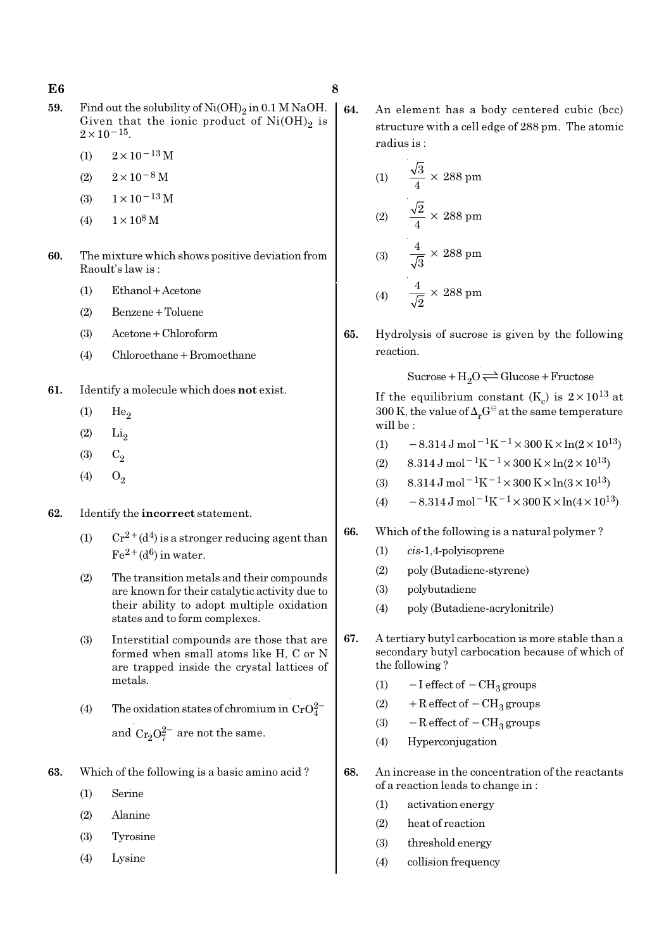- **59.** Find out the solubility of  $Ni(OH)_2$  in 0.1 M NaOH. Given that the ionic product of  $Ni(OH)_2$  is  $2 \times 10^{-15}$ .
	- (1)  $2 \times 10^{-13}$  M
	- $(2)$  2×10<sup>-8</sup> M
	- (3)  $1 \times 10^{-13}$  M
	- (4)  $1 \times 10^8$  M
- 60. The mixture which shows positive deviation from Raoult's law is :
	- (1) Ethanol+Acetone
	- (2) Benzene+Toluene
	- (3) Acetone+Chloroform
	- (4) Chloroethane+Bromoethane
- 61. Identify a molecule which does not exist.
	- $(1)$  He<sub>2</sub>
	- $(2)$   $Li<sub>2</sub>$
	- (3)  $C_2$
	- (4)  $O_2$
- 62. Identify the incorrect statement.
	- (1)  $Cr^{2+}(d^4)$  is a stronger reducing agent than  $Fe^{2+}(d^6)$  in water.
	- (2) The transition metals and their compounds are known for their catalytic activity due to their ability to adopt multiple oxidation states and to form complexes.
	- (3) Interstitial compounds are those that are formed when small atoms like H, C or N are trapped inside the crystal lattices of metals.
	- (4) The oxidation states of chromium in  $CrO<sub>4</sub><sup>2</sup>$ and  $Cr_2O_7^{2-}$  are not the same.
- 63. Which of the following is a basic amino acid ?
	- (1) Serine
	- (2) Alanine
	- (3) Tyrosine
	- (4) Lysine

64. An element has a body centered cubic (bcc) structure with a cell edge of 288 pm. The atomic radius is :

(1) 
$$
\frac{\sqrt{3}}{4} \times 288 \text{ pm}
$$
  
(2) 
$$
\frac{\sqrt{2}}{4} \times 288 \text{ pm}
$$
  
(3) 
$$
\frac{4}{\sqrt{3}} \times 288 \text{ pm}
$$
  
(4) 
$$
\frac{4}{\sqrt{2}} \times 288 \text{ pm}
$$

65. Hydrolysis of sucrose is given by the following reaction.

 $Sucrose+H_2O \rightleftharpoons Glucose+Fructose$ 

If the equilibrium constant (K<sub>c</sub>) is  $2 \times 10^{13}$  at 300 K, the value of  $\Delta_r G^\ominus$  at the same temperature will be :

- (1)  $-8.314 \,\mathrm{J} \,\mathrm{mol}^{-1} \mathrm{K}^{-1} \times 300 \,\mathrm{K} \times \ln(2 \times 10^{13})$
- (2)  $8.314 \text{ J mol}^{-1}\text{K}^{-1} \times 300 \text{ K} \times \ln(2 \times 10^{13})$
- (3) 8.314 J mol<sup>-1</sup>K<sup>-1</sup> × 300 K × ln(3 × 10<sup>13</sup>)
- (4)  $-8.314 \text{ J mol}^{-1} \text{K}^{-1} \times 300 \text{ K} \times \ln(4 \times 10^{13})$

#### 66. Which of the following is a natural polymer ?

- (1) cis-1,4-polyisoprene
- (2) poly (Butadiene-styrene)
- (3) polybutadiene
- (4) poly (Butadiene-acrylonitrile)
- 67. A tertiary butyl carbocation is more stable than a secondary butyl carbocation because of which of the following ?
	- (1)  $-I$  effect of  $-CH<sub>3</sub>$  groups
	- (2) + R effect of  $-CH<sub>3</sub>$  groups
	- (3)  $-$ R effect of  $-$ CH<sub>3</sub> groups
	- (4) Hyperconjugation
- 68. An increase in the concentration of the reactants of a reaction leads to change in :
	- (1) activation energy
	- (2) heat of reaction
	- (3) threshold energy
	- (4) collision frequency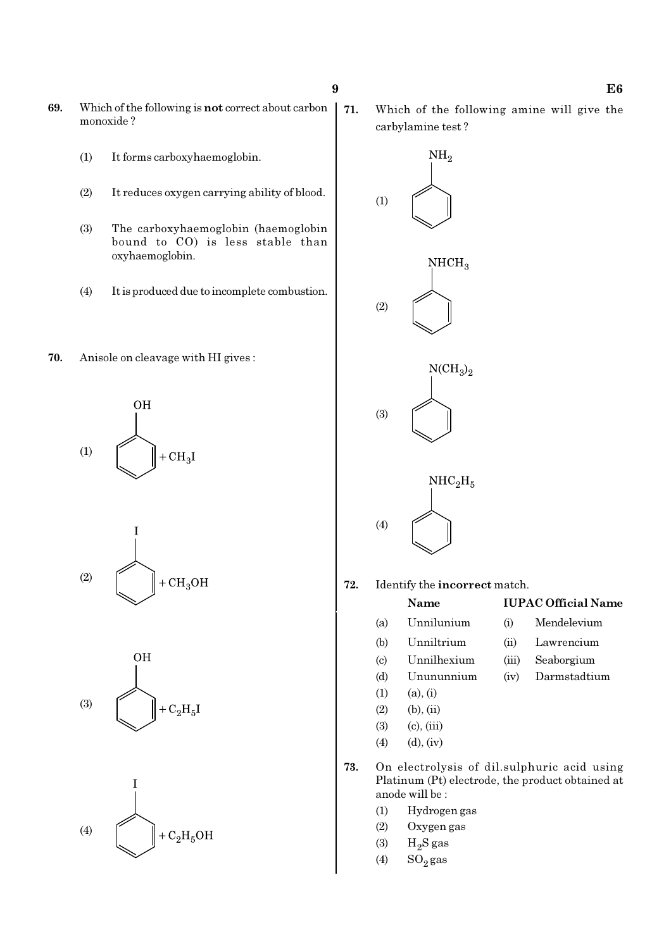- 69. Which of the following is not correct about carbon monoxide ?
	- (1) It forms carboxyhaemoglobin.
	- (2) It reduces oxygen carrying ability of blood.
	- (3) The carboxyhaemoglobin (haemoglobin bound to CO) is less stable than oxyhaemoglobin.
	- (4) It is produced due to incomplete combustion.
- 70. Anisole on cleavage with HI gives :









71. Which of the following amine will give the carbylamine test ?



72. Identify the incorrect match.

#### Name IUPAC Official Name

- (a) Unnilunium (i) Mendelevium (b) Unniltrium (ii) Lawrencium (c) Unnilhexium (iii) Seaborgium (d) Unununnium (iv) Darmstadtium
- $(1)$   $(a), (i)$
- $(2)$  (b), (ii)
- $(3)$   $(c)$ ,  $(iii)$
- (4) (d), (iv)
- 73. On electrolysis of dil.sulphuric acid using Platinum (Pt) electrode, the product obtained at anode will be :
	- (1) Hydrogen gas
	- (2) Oxygen gas
	- $(3)$  H<sub>2</sub>S gas
	- $(4)$  SO<sub>2</sub> gas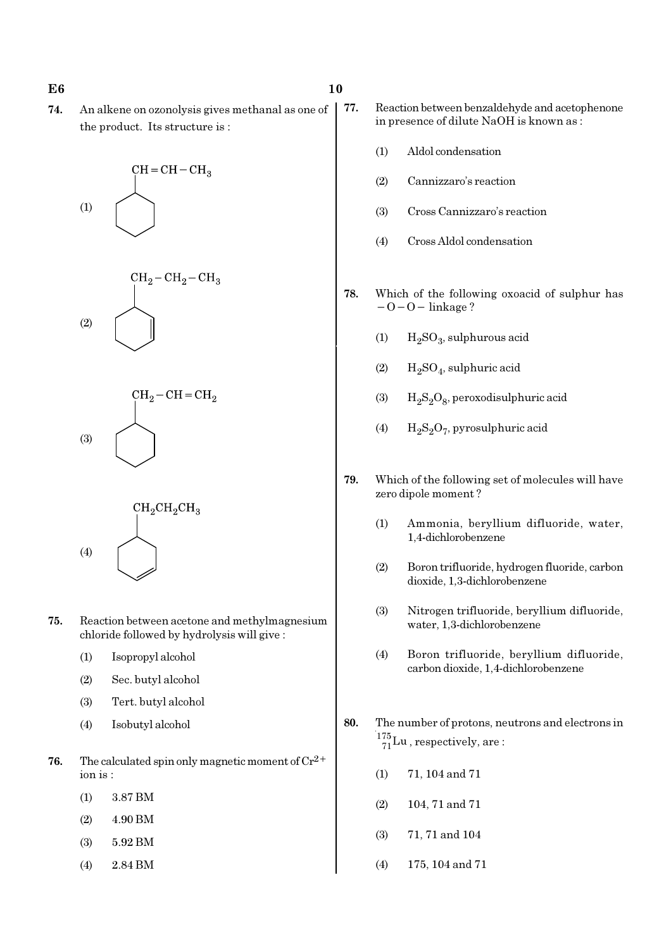74. An alkene on ozonolysis gives methanal as one of the product. Its structure is :









- 75. Reaction between acetone and methylmagnesium chloride followed by hydrolysis will give :
	- (1) Isopropyl alcohol
	- (2) Sec. butyl alcohol
	- (3) Tert. butyl alcohol
	- (4) Isobutyl alcohol
- **76.** The calculated spin only magnetic moment of  $Cr^{2+}$ ion is :
	- (1) 3.87 BM
	- (2) 4.90 BM
	- (3) 5.92 BM
	- (4) 2.84 BM
- - 77. Reaction between benzaldehyde and acetophenone in presence of dilute NaOH is known as :
		- (1) Aldol condensation
		- (2) Cannizzaro's reaction
		- (3) Cross Cannizzaro's reaction
		- (4) Cross Aldol condensation
	- 78. Which of the following oxoacid of sulphur has  $-O-O-$  linkage ?
		- (1)  $H_2SO_3$ , sulphurous acid
		- (2)  $H_2SO_4$ , sulphuric acid
		- (3)  $H_2S_2O_8$ , peroxodisulphuric acid
		- (4)  $H_2S_2O_7$ , pyrosulphuric acid
	- 79. Which of the following set of molecules will have zero dipole moment ?
		- (1) Ammonia, beryllium difluoride, water, 1,4-dichlorobenzene
		- (2) Boron trifluoride, hydrogen fluoride, carbon dioxide, 1,3-dichlorobenzene
		- (3) Nitrogen trifluoride, beryllium difluoride, water, 1,3-dichlorobenzene
		- (4) Boron trifluoride, beryllium difluoride, carbon dioxide, 1,4-dichlorobenzene
	- 80. The number of protons, neutrons and electrons in  $^{175}_{71}$ Lu, respectively, are:
		- (1) 71, 104 and 71
		- (2) 104, 71 and 71
		- (3) 71, 71 and 104
		- (4) 175, 104 and 71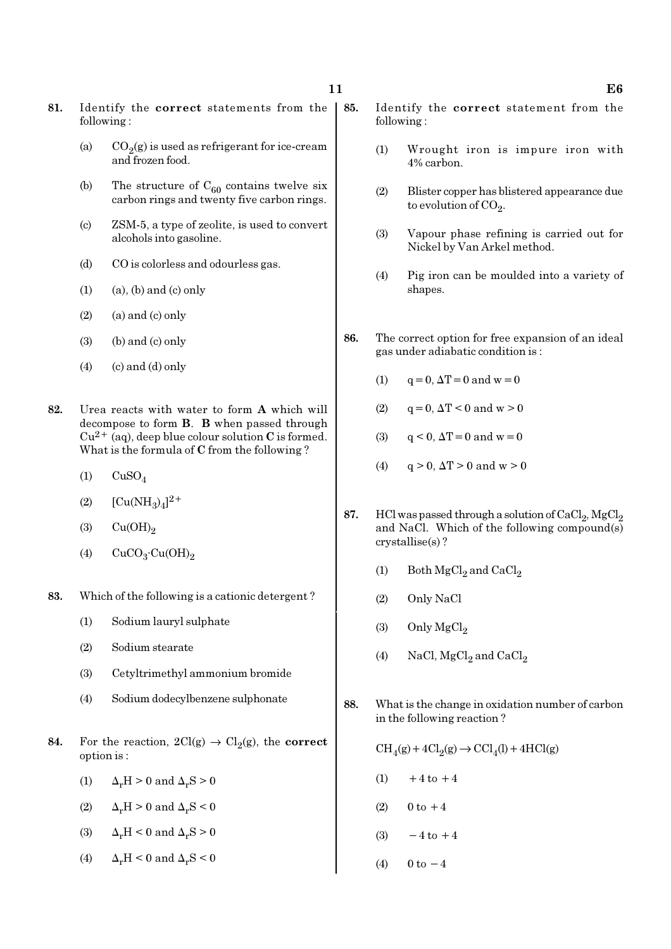- 81. Identify the correct statements from the following :
	- (a)  $CO_2(g)$  is used as refrigerant for ice-cream and frozen food.
	- (b) The structure of  $C_{60}$  contains twelve six carbon rings and twenty five carbon rings.
	- (c) ZSM-5, a type of zeolite, is used to convert alcohols into gasoline.
	- (d) CO is colorless and odourless gas.
	- $(1)$   $(a)$ ,  $(b)$  and  $(c)$  only
	- $(2)$  (a) and  $(c)$  only
	- $(3)$  (b) and  $(c)$  only
	- $(4)$  (c) and (d) only
- 82. Urea reacts with water to form A which will decompose to form B. B when passed through  $Cu^{2+}$  (aq), deep blue colour solution C is formed. What is the formula of C from the following ?
	- $(1)$  CuSO<sub>4</sub>
	- (2)  $[Cu(NH_3)_4]^{2+}$
	- $\text{Cu(OH)}_{2}$
	- (4)  $CuCO<sub>3</sub>·Cu(OH)<sub>2</sub>$
- 83. Which of the following is a cationic detergent ?
	- (1) Sodium lauryl sulphate
	- (2) Sodium stearate
	- (3) Cetyltrimethyl ammonium bromide
	- (4) Sodium dodecylbenzene sulphonate
- 84. For the reaction,  $2Cl(g) \rightarrow Cl_2(g)$ , the correct option is :
	- (1)  $\Delta_r H > 0$  and  $\Delta_r S > 0$
	- (2)  $\Delta_r H > 0$  and  $\Delta_r S < 0$
	- (3)  $\Delta_r H \leq 0$  and  $\Delta_r S > 0$
	- (4)  $\Delta_r H \leq 0$  and  $\Delta_r S \leq 0$
- 85. Identify the correct statement from the following :
	- (1) Wrought iron is impure iron with 4% carbon.
	- (2) Blister copper has blistered appearance due to evolution of CO<sub>2</sub>.
	- (3) Vapour phase refining is carried out for Nickel by Van Arkel method.
	- (4) Pig iron can be moulded into a variety of shapes.
- 86. The correct option for free expansion of an ideal gas under adiabatic condition is :
	- (1)  $q = 0$ ,  $\Delta T = 0$  and  $w = 0$
	- (2)  $q = 0$ ,  $\Delta T < 0$  and  $w > 0$
	- (3)  $q < 0$ ,  $\Delta T = 0$  and  $w = 0$
	- (4)  $q > 0$ ,  $\Delta T > 0$  and  $w > 0$
- 87. HCl was passed through a solution of  $\mathrm{CaCl}_{2}$ ,  $\mathrm{MgCl}_{2}$ and NaCl. Which of the following compound(s) crystallise(s) ?
	- (1) Both  $\mathrm{MgCl}_2$  and  $\mathrm{CaCl}_2$
	- (2) Only NaCl
	- (3) Only  $MgCl<sub>2</sub>$
	- (4) NaCl,  $MgCl<sub>2</sub>$  and  $CaCl<sub>2</sub>$
- 88. What is the change in oxidation number of carbon in the following reaction ?

 $\text{CH}_4(g) + 4\text{Cl}_2(g) \rightarrow \text{CCl}_4(l) + 4\text{HCl}(g)$ 

- $(1) +4$  to  $+4$
- (2)  $0 \text{ to } +4$
- $(3) -4$  to  $+4$
- (4)  $0 \text{ to } -4$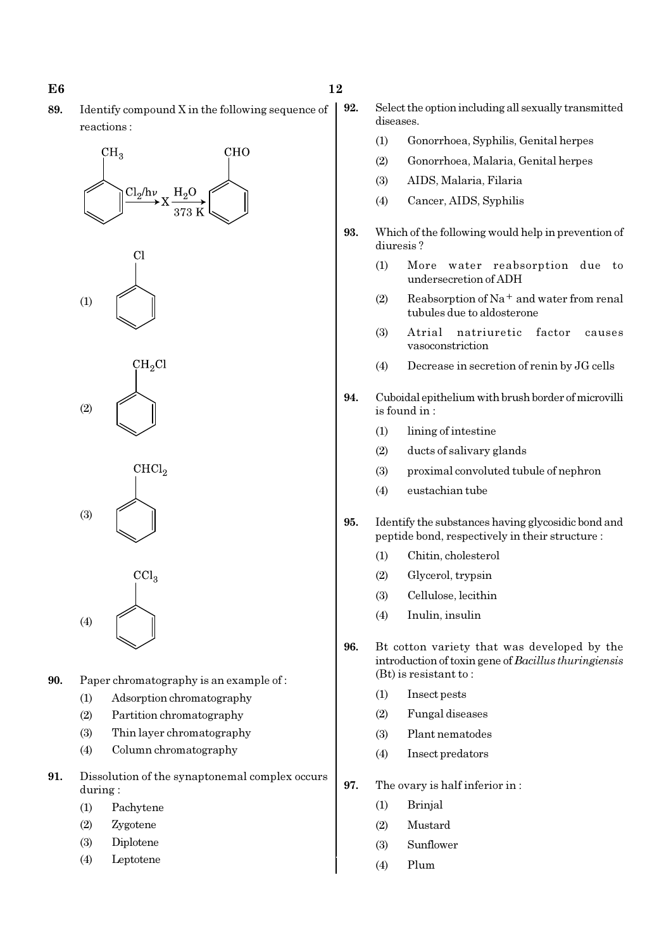- $E6$  and  $12$
- 89. Identify compound X in the following sequence of reactions :

# **CHO**  $CH<sub>3</sub>$  $Cl_2/h\nu$





CHCl<sub>2</sub> (3)

 $\text{CC}l_3$ (4)

- 90. Paper chromatography is an example of :
	- (1) Adsorption chromatography
	- (2) Partition chromatography
	- (3) Thin layer chromatography
	- (4) Column chromatography
- 91. Dissolution of the synaptonemal complex occurs during :
	- (1) Pachytene
	- (2) Zygotene
	- (3) Diplotene
	- (4) Leptotene
- 92. Select the option including all sexually transmitted diseases.
	- (1) Gonorrhoea, Syphilis, Genital herpes
	- (2) Gonorrhoea, Malaria, Genital herpes
	- (3) AIDS, Malaria, Filaria
	- (4) Cancer, AIDS, Syphilis
- 93. Which of the following would help in prevention of diuresis ?
	- (1) More water reabsorption due to undersecretion of ADH
	- (2) Reabsorption of Na<sup>+</sup> and water from renal tubules due to aldosterone
	- (3) Atrial natriuretic factor causes vasoconstriction
	- (4) Decrease in secretion of renin by JG cells
- 94. Cuboidal epithelium with brush border of microvilli is found in :
	- (1) lining of intestine
	- (2) ducts of salivary glands
	- (3) proximal convoluted tubule of nephron
	- (4) eustachian tube
- 95. Identify the substances having glycosidic bond and peptide bond, respectively in their structure :
	- (1) Chitin, cholesterol
	- (2) Glycerol, trypsin
	- (3) Cellulose, lecithin
	- (4) Inulin, insulin
- 96. Bt cotton variety that was developed by the introduction of toxin gene of Bacillus thuringiensis (Bt) is resistant to :
	- (1) Insect pests
	- (2) Fungal diseases
	- (3) Plant nematodes
	- (4) Insect predators
- 97. The ovary is half inferior in :
	- (1) Brinjal
	- (2) Mustard
	- (3) Sunflower
	- (4) Plum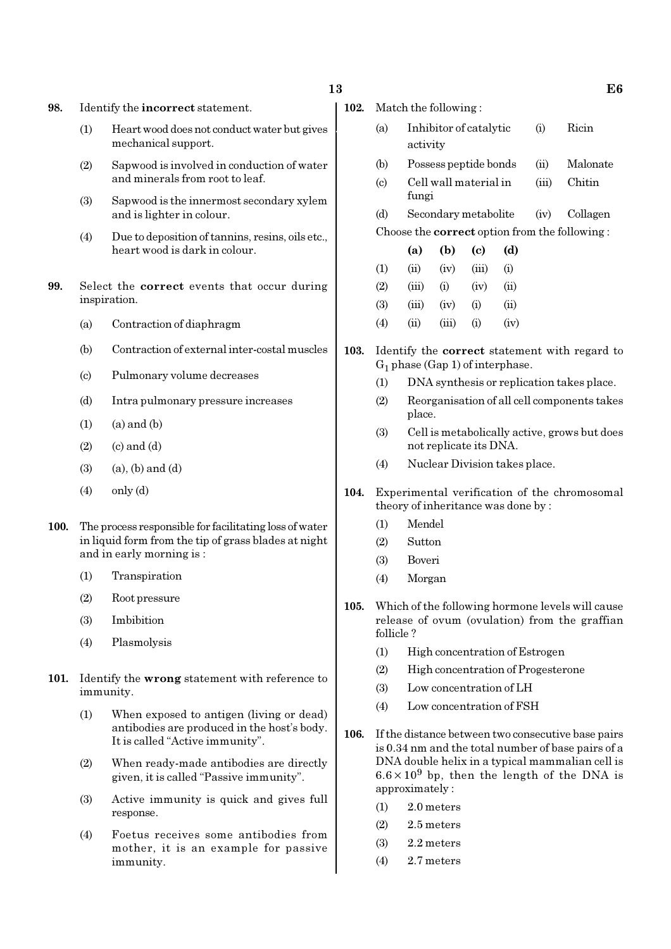#### $13$  E6

98. Identify the incorrect statement.

- (1) Heart wood does not conduct water but gives mechanical support.
- (2) Sapwood is involved in conduction of water and minerals from root to leaf.
- (3) Sapwood is the innermost secondary xylem and is lighter in colour.
- (4) Due to deposition of tannins, resins, oils etc., heart wood is dark in colour.
- 99. Select the correct events that occur during inspiration.
	- (a) Contraction of diaphragm
	- (b) Contraction of external inter-costal muscles
	- (c) Pulmonary volume decreases
	- (d) Intra pulmonary pressure increases
	- $(1)$   $(a)$  and  $(b)$
	- $(2)$   $(c)$  and  $(d)$
	- $(3)$   $(a)$ ,  $(b)$  and  $(d)$
	- $(4)$  only  $(d)$
- 100. The process responsible for facilitating loss of water in liquid form from the tip of grass blades at night and in early morning is :
	- (1) Transpiration
	- (2) Root pressure
	- (3) Imbibition
	- (4) Plasmolysis
- 101. Identify the wrong statement with reference to immunity.
	- (1) When exposed to antigen (living or dead) antibodies are produced in the host's body. It is called "Active immunity".
	- (2) When ready-made antibodies are directly given, it is called "Passive immunity".
	- (3) Active immunity is quick and gives full response.
	- (4) Foetus receives some antibodies from mother, it is an example for passive immunity.

| 102. |  | Match the following: |  |
|------|--|----------------------|--|

- (a) Inhibitor of catalytic (i) Ricin activity
- (b) Possess peptide bonds (ii) Malonate
- (c) Cell wall material in (iii) Chitin fungi
- (d) Secondary metabolite (iv) Collagen Choose the correct option from the following :
- (a) (b) (c) (d)  $(1)$   $(ii)$   $(iv)$   $(iii)$   $(i)$  $(2)$   $(iii)$   $(i)$   $(iv)$   $(ii)$ (3) (iii) (iv) (i) (ii)  $(4)$  (ii) (iii) (i) (iv)
- 103. Identify the correct statement with regard to  $G_1$  phase (Gap 1) of interphase.
	- (1) DNA synthesis or replication takes place.
	- (2) Reorganisation of all cell components takes place.
	- (3) Cell is metabolically active, grows but does not replicate its DNA.
	- (4) Nuclear Division takes place.
- 104. Experimental verification of the chromosomal theory of inheritance was done by :
	- (1) Mendel
	- (2) Sutton
	- (3) Boveri
	- (4) Morgan
- 105. Which of the following hormone levels will cause release of ovum (ovulation) from the graffian follicle ?
	- (1) High concentration of Estrogen
	- (2) High concentration of Progesterone
	- (3) Low concentration of LH
	- (4) Low concentration of FSH
- 106. If the distance between two consecutive base pairs is 0.34 nm and the total number of base pairs of a DNA double helix in a typical mammalian cell is  $6.6 \times 10^9$  bp, then the length of the DNA is approximately :
	- (1) 2.0 meters
	- (2) 2.5 meters
	- (3) 2.2 meters
	- (4) 2.7 meters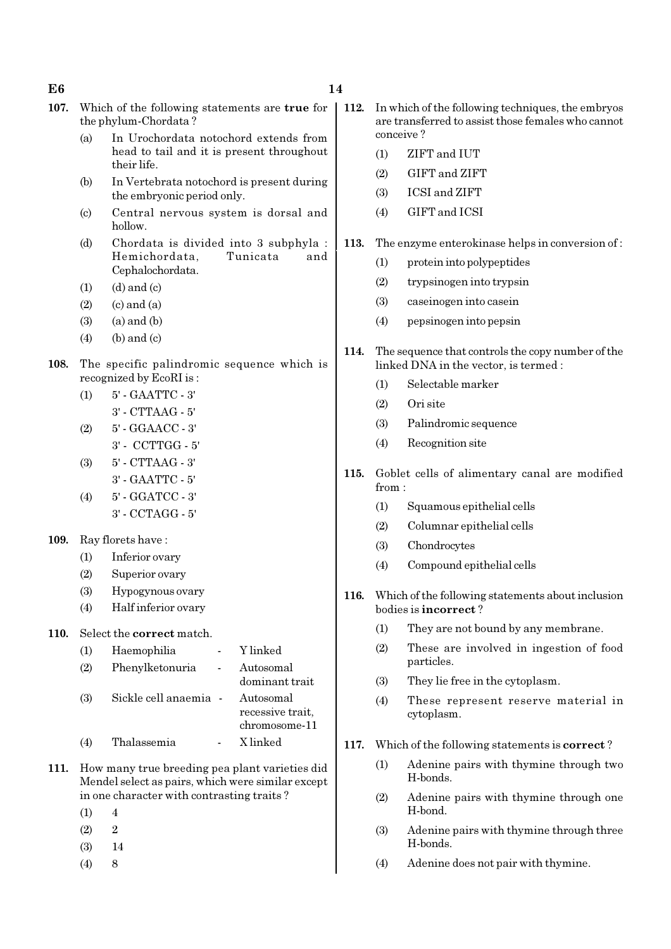#### $E6$  and  $14$

- 
- 107. Which of the following statements are true for the phylum-Chordata ?
	- (a) In Urochordata notochord extends from head to tail and it is present throughout their life.
	- (b) In Vertebrata notochord is present during the embryonic period only.
	- (c) Central nervous system is dorsal and hollow.
	- (d) Chordata is divided into 3 subphyla : Hemichordata, Tunicata and Cephalochordata.
	- $(1)$   $(d)$  and  $(c)$
	- $(2)$   $(c)$  and  $(a)$
	- $(3)$   $(a)$  and  $(b)$
	- $(4)$  (b) and (c)
- 108. The specific palindromic sequence which is recognized by EcoRI is :
	- (1) 5' GAATTC 3'
	- 3' CTTAAG 5'
	- (2) 5' GGAACC 3'
	- 3' CCTTGG 5'
	- (3) 5' CTTAAG 3'
	- 3' GAATTC 5'
	- (4) 5' GGATCC 3' 3' - CCTAGG - 5'
- 109. Ray florets have :
	- (1) Inferior ovary
	- (2) Superior ovary
	- (3) Hypogynous ovary
	- (4) Half inferior ovary

#### 110. Select the correct match.

| (1) | Haemophilia           | Y linked                                       |
|-----|-----------------------|------------------------------------------------|
| (2) | Phenylketonuria       | Autosomal<br>dominant trait                    |
| (3) | Sickle cell anaemia - | Autosomal<br>recessive trait,<br>chromosome-11 |
|     | Thalassemia           | X linked                                       |

- 111. How many true breeding pea plant varieties did Mendel select as pairs, which were similar except in one character with contrasting traits ?
	- $(1) 4$
	- $(2)$  2
	- (3) 14
	- $(4)$  8
- 112. In which of the following techniques, the embryos are transferred to assist those females who cannot conceive ?
	- (1) ZIFT and IUT
	- (2) GIFT and ZIFT
	- (3) ICSI and ZIFT
	- (4) GIFT and ICSI
- 113. The enzyme enterokinase helps in conversion of :
	- (1) protein into polypeptides
	- (2) trypsinogen into trypsin
	- (3) caseinogen into casein
	- (4) pepsinogen into pepsin
- 114. The sequence that controls the copy number of the linked DNA in the vector, is termed :
	- (1) Selectable marker
	- (2) Ori site
	- (3) Palindromic sequence
	- (4) Recognition site
- 115. Goblet cells of alimentary canal are modified from :
	- (1) Squamous epithelial cells
	- (2) Columnar epithelial cells
	- (3) Chondrocytes
	- (4) Compound epithelial cells
- 116. Which of the following statements about inclusion bodies is incorrect ?
	- (1) They are not bound by any membrane.
	- (2) These are involved in ingestion of food particles.
	- (3) They lie free in the cytoplasm.
	- (4) These represent reserve material in cytoplasm.
- 117. Which of the following statements is correct ?
	- (1) Adenine pairs with thymine through two H-bonds.
	- (2) Adenine pairs with thymine through one H-bond.
	- (3) Adenine pairs with thymine through three H-bonds.
	- (4) Adenine does not pair with thymine.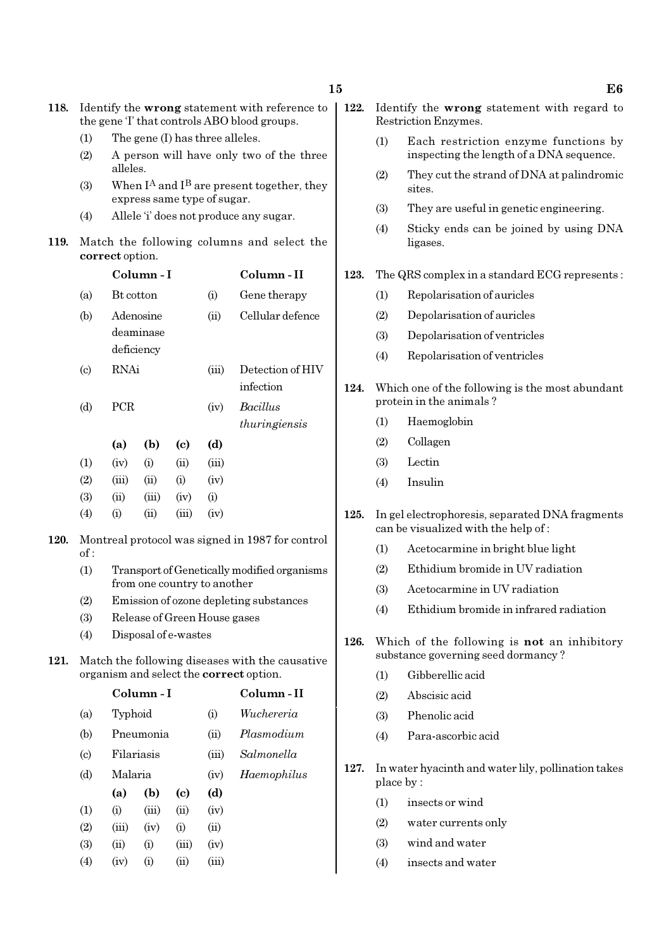118. Identify the wrong statement with reference to

(3) (ii) (i) (iii) (iv) (4) (iv) (i) (ii) (iii) 122. Identify the wrong statement with regard to

|      |                            | the gene T that controls ABO blood groups.                                  |            |                             |                              |                                                  |      | Restriction Enzymes. |                                                                                        |  |
|------|----------------------------|-----------------------------------------------------------------------------|------------|-----------------------------|------------------------------|--------------------------------------------------|------|----------------------|----------------------------------------------------------------------------------------|--|
|      | (1)<br>(2)                 | The gene (I) has three alleles.<br>A person will have only two of the three |            |                             |                              |                                                  |      | (1)                  | Each restriction enzyme functions by<br>inspecting the length of a DNA sequence.       |  |
|      | (3)                        | alleles.<br>When $I^A$ and $I^B$ are present together, they                 |            |                             |                              |                                                  |      | (2)                  | They cut the strand of DNA at palindromic<br>sites.                                    |  |
|      |                            |                                                                             |            |                             | express same type of sugar.  |                                                  |      | (3)                  | They are useful in genetic engineering.                                                |  |
|      | (4)                        |                                                                             |            |                             |                              | Allele 'i' does not produce any sugar.           |      | (4)                  | Sticky ends can be joined by using DNA                                                 |  |
| 119. |                            | correct option.                                                             |            |                             |                              | Match the following columns and select the       |      |                      | ligases.                                                                               |  |
|      |                            |                                                                             | Column-I   |                             |                              | Column-II                                        | 123. |                      | The QRS complex in a standard ECG represents:                                          |  |
|      | (a)                        | Bt cotton                                                                   |            |                             | (i)                          | Gene therapy                                     |      | (1)                  | Repolarisation of auricles                                                             |  |
|      | (b)                        |                                                                             | Adenosine  |                             | (ii)                         | Cellular defence                                 |      | (2)                  | Depolarisation of auricles                                                             |  |
|      |                            |                                                                             | deaminase  |                             |                              |                                                  |      | (3)                  | Depolarisation of ventricles                                                           |  |
|      |                            |                                                                             | deficiency |                             |                              |                                                  |      | (4)                  | Repolarisation of ventricles                                                           |  |
|      | $\left( \mathrm{c}\right)$ | <b>RNAi</b>                                                                 |            |                             | (iii)                        | Detection of HIV                                 |      |                      |                                                                                        |  |
|      |                            |                                                                             |            |                             |                              | infection                                        | 124. |                      | Which one of the following is the most abundant                                        |  |
|      | (d)                        | PCR                                                                         |            |                             | (iv)                         | Bacillus                                         |      |                      | protein in the animals?                                                                |  |
|      |                            |                                                                             |            |                             |                              | thuringiensis                                    |      | (1)                  | Haemoglobin                                                                            |  |
|      |                            | (a)                                                                         | (b)        | $\left( \mathbf{c} \right)$ | (d)                          |                                                  |      | (2)                  | Collagen                                                                               |  |
|      | (1)                        | (iv)                                                                        | (i)        | (ii)                        | (iii)                        |                                                  |      | (3)                  | Lectin                                                                                 |  |
|      | (2)                        | (iii)                                                                       | (ii)       | (i)                         | (iv)                         |                                                  |      | (4)                  | Insulin                                                                                |  |
|      | (3)                        | (ii)                                                                        | (iii)      | (iv)                        | (i)                          |                                                  |      |                      |                                                                                        |  |
| 120. | (4)                        | (i)                                                                         | (ii)       | (iii)                       | (iv)                         | Montreal protocol was signed in 1987 for control | 125. |                      | In gel electrophoresis, separated DNA fragments<br>can be visualized with the help of: |  |
|      | of:                        |                                                                             |            |                             |                              |                                                  |      | (1)                  | Acetocarmine in bright blue light                                                      |  |
|      | (1)                        |                                                                             |            |                             |                              | Transport of Genetically modified organisms      |      | (2)                  | Ethidium bromide in UV radiation                                                       |  |
|      |                            |                                                                             |            |                             | from one country to another  |                                                  |      | (3)                  | Acetocarmine in UV radiation                                                           |  |
|      | (2)                        |                                                                             |            |                             |                              | Emission of ozone depleting substances           |      | (4)                  | Ethidium bromide in infrared radiation                                                 |  |
|      | (3)<br>(4)                 |                                                                             |            | Disposal of e-wastes        | Release of Green House gases |                                                  |      |                      |                                                                                        |  |
| 121. |                            |                                                                             |            |                             |                              | Match the following diseases with the causative  | 126. |                      | Which of the following is not an inhibitory<br>substance governing seed dormancy?      |  |
|      |                            |                                                                             |            |                             |                              | organism and select the <b>correct</b> option.   |      | (1)                  | Gibberellic acid                                                                       |  |
|      |                            |                                                                             | Column-I   |                             |                              | Column-II                                        |      | (2)                  | Abscisic acid                                                                          |  |
|      | (a)                        | Typhoid                                                                     |            |                             | (i)                          | Wuchereria                                       |      | (3)                  | Phenolic acid                                                                          |  |
|      | (b)                        |                                                                             | Pneumonia  |                             | (ii)                         | Plasmodium                                       |      | (4)                  | Para-ascorbic acid                                                                     |  |
|      | $\left( \mathrm{c}\right)$ |                                                                             | Filariasis |                             | (iii)                        | Salmonella                                       |      |                      |                                                                                        |  |
|      | (d)                        | Malaria                                                                     |            |                             | (iv)                         | Haemophilus                                      | 127. |                      | In water hyacinth and water lily, pollination takes<br>place by:                       |  |
|      |                            | (a)                                                                         | (b)        | $\left( \mathbf{c} \right)$ | (d)                          |                                                  |      | (1)                  | insects or wind                                                                        |  |
|      | (1)                        | (i)                                                                         | (iii)      | (ii)                        | (iv)                         |                                                  |      | (2)                  | water currents only                                                                    |  |
|      | (2)                        | (iii)                                                                       | (iv)       | (i)                         | (ii)                         |                                                  |      |                      |                                                                                        |  |

- (3) wind and water
- (4) insects and water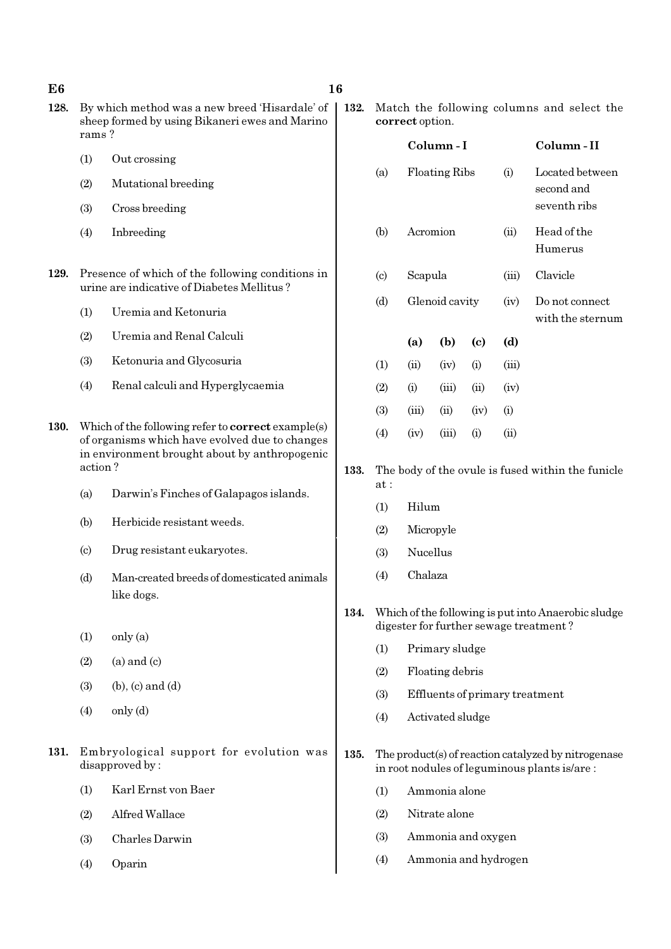| E6   |                                                                                                           |                                                                                                                                                       | 16   |                                                               |           |                      |                            |                      |                                                                                                     |
|------|-----------------------------------------------------------------------------------------------------------|-------------------------------------------------------------------------------------------------------------------------------------------------------|------|---------------------------------------------------------------|-----------|----------------------|----------------------------|----------------------|-----------------------------------------------------------------------------------------------------|
| 128. | By which method was a new breed 'Hisardale' of<br>sheep formed by using Bikaneri ewes and Marino<br>rams? |                                                                                                                                                       |      | Match the following columns and select the<br>correct option. |           |                      |                            |                      |                                                                                                     |
|      |                                                                                                           |                                                                                                                                                       |      |                                                               |           | Column-I             |                            |                      | Column-II                                                                                           |
|      | (1)                                                                                                       | Out crossing                                                                                                                                          |      | (a)                                                           |           | <b>Floating Ribs</b> |                            | (i)                  | Located between                                                                                     |
|      | (2)                                                                                                       | Mutational breeding                                                                                                                                   |      |                                                               |           |                      |                            |                      | second and                                                                                          |
|      | (3)                                                                                                       | Cross breeding                                                                                                                                        |      |                                                               |           |                      |                            |                      | seventh ribs                                                                                        |
|      | (4)                                                                                                       | Inbreeding                                                                                                                                            |      | (b)                                                           |           | Acromion             |                            | (ii)                 | Head of the<br>Humerus                                                                              |
| 129. |                                                                                                           | Presence of which of the following conditions in<br>urine are indicative of Diabetes Mellitus?                                                        |      | $\left( \mathrm{c}\right)$                                    | Scapula   |                      |                            | (iii)                | Clavicle                                                                                            |
|      | (1)                                                                                                       | Uremia and Ketonuria                                                                                                                                  |      | (d)                                                           |           | Glenoid cavity       |                            | (iv)                 | Do not connect<br>with the sternum                                                                  |
|      | (2)                                                                                                       | Uremia and Renal Calculi                                                                                                                              |      |                                                               | (a)       | (b)                  | $\left( \mathrm{c}\right)$ | (d)                  |                                                                                                     |
|      | (3)                                                                                                       | Ketonuria and Glycosuria                                                                                                                              |      | (1)                                                           | (ii)      | (iv)                 | (i)                        | (iii)                |                                                                                                     |
|      | (4)                                                                                                       | Renal calculi and Hyperglycaemia                                                                                                                      |      | (2)                                                           | (i)       | (iii)                | (ii)                       | (iv)                 |                                                                                                     |
|      |                                                                                                           |                                                                                                                                                       |      | (3)                                                           | (iii)     | (ii)                 | (iv)                       | (i)                  |                                                                                                     |
| 130. |                                                                                                           | Which of the following refer to correct example(s)<br>of organisms which have evolved due to changes<br>in environment brought about by anthropogenic |      | (4)                                                           | (iv)      | (iii)                | (i)                        | (ii)                 |                                                                                                     |
|      | action?                                                                                                   |                                                                                                                                                       |      | at:                                                           |           |                      |                            |                      | The body of the ovule is fused within the funicle                                                   |
|      | (a)                                                                                                       | Darwin's Finches of Galapagos islands.                                                                                                                |      | (1)                                                           | Hilum     |                      |                            |                      |                                                                                                     |
|      | (b)                                                                                                       | Herbicide resistant weeds.                                                                                                                            |      | (2)                                                           | Micropyle |                      |                            |                      |                                                                                                     |
|      | $\left( \mathrm{c}\right)$                                                                                | Drug resistant eukaryotes.                                                                                                                            |      | (3)                                                           | Nucellus  |                      |                            |                      |                                                                                                     |
|      | (d)                                                                                                       | Man-created breeds of domesticated animals<br>like dogs.                                                                                              |      | (4)                                                           | Chalaza   |                      |                            |                      |                                                                                                     |
|      |                                                                                                           |                                                                                                                                                       | 134. |                                                               |           |                      |                            |                      | Which of the following is put into Anaerobic sludge                                                 |
|      | (1)                                                                                                       | only (a)                                                                                                                                              |      |                                                               |           |                      |                            |                      | digester for further sewage treatment?                                                              |
|      | (2)                                                                                                       | $(a)$ and $(c)$                                                                                                                                       |      | (1)                                                           |           | Primary sludge       |                            |                      |                                                                                                     |
|      | (3)                                                                                                       | $(b)$ , $(c)$ and $(d)$                                                                                                                               |      | (2)                                                           |           | Floating debris      |                            |                      |                                                                                                     |
|      | (4)                                                                                                       | only (d)                                                                                                                                              |      | (3)                                                           |           |                      |                            |                      | Effluents of primary treatment                                                                      |
|      |                                                                                                           |                                                                                                                                                       |      | (4)                                                           |           | Activated sludge     |                            |                      |                                                                                                     |
| 131. |                                                                                                           | Embryological support for evolution was<br>disapproved by:                                                                                            | 135. |                                                               |           |                      |                            |                      | The product(s) of reaction catalyzed by nitrogenase<br>in root nodules of leguminous plants is/are: |
|      | (1)                                                                                                       | Karl Ernst von Baer                                                                                                                                   |      | (1)                                                           |           | Ammonia alone        |                            |                      |                                                                                                     |
|      | (2)                                                                                                       | Alfred Wallace                                                                                                                                        |      | (2)                                                           |           | Nitrate alone        |                            |                      |                                                                                                     |
|      | (3)                                                                                                       | Charles Darwin                                                                                                                                        |      | (3)                                                           |           |                      | Ammonia and oxygen         |                      |                                                                                                     |
|      | (4)                                                                                                       | Oparin                                                                                                                                                |      | (4)                                                           |           |                      |                            | Ammonia and hydrogen |                                                                                                     |
|      |                                                                                                           |                                                                                                                                                       |      |                                                               |           |                      |                            |                      |                                                                                                     |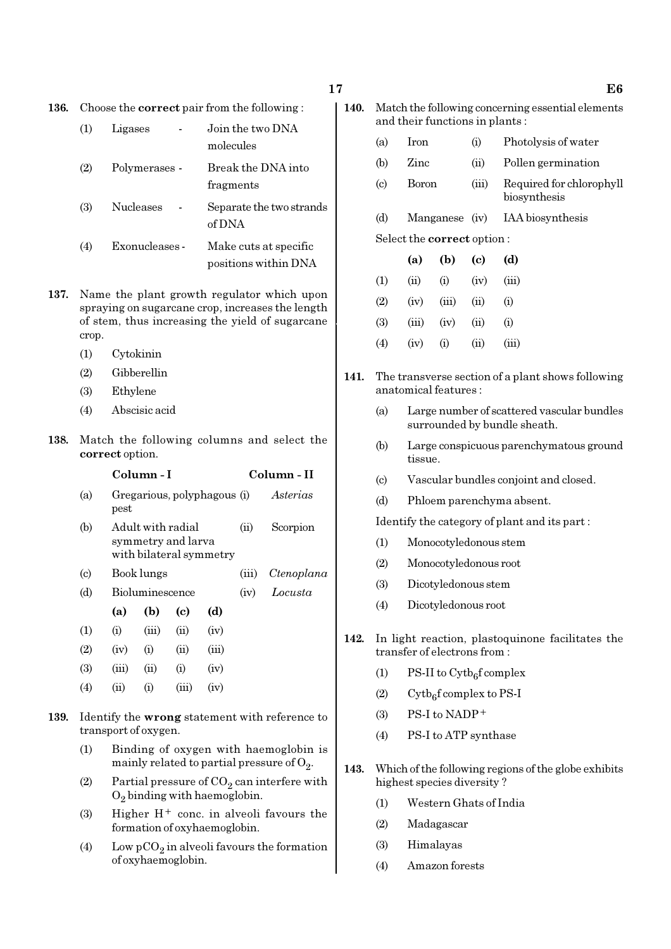136. Choose the correct pair from the following :

| (1) | Ligases          | Join the two DNA<br>molecules      |
|-----|------------------|------------------------------------|
| (2) | Polymerases -    | Break the DNA into<br>fragments    |
| (3) | <b>Nucleases</b> | Separate the two strands<br>of DNA |

- (4) Exonucleases Make cuts at specific positions within DNA
- 137. Name the plant growth regulator which upon spraying on sugarcane crop, increases the length of stem, thus increasing the yield of sugarcane crop.
	- (1) Cytokinin
	- (2) Gibberellin
	- (3) Ethylene
	- (4) Abscisic acid
- 138. Match the following columns and select the correct option.

#### Column - I Column - II

|                           |       | UULULLILLE – L                                                     |       |       |            | UULUHIII - 11 |
|---------------------------|-------|--------------------------------------------------------------------|-------|-------|------------|---------------|
| (a)                       | pest  | Gregarious, polyphagous (i)                                        |       |       | Asterias   |               |
| (b)                       |       | Adult with radial<br>symmetry and larva<br>with bilateral symmetry |       | (ii)  | Scorpion   |               |
| $\left( \text{c} \right)$ |       | Book lungs                                                         |       | (iii) | Ctenoplana |               |
| (d)                       |       | Bioluminescence                                                    |       | (iv)  | Locusta    |               |
|                           | (a)   | (b)                                                                | (c)   | (d)   |            |               |
| (1)                       | (i)   | (iii)                                                              | (ii)  | (iv)  |            |               |
| (2)                       | (iv)  | (i)                                                                | (ii)  | (iii) |            |               |
| (3)                       | (iii) | (ii)                                                               | (i)   | (iv)  |            |               |
| (4)                       | (ii)  | (i)                                                                | (iii) | (iv)  |            |               |

- 139. Identify the wrong statement with reference to transport of oxygen.
	- (1) Binding of oxygen with haemoglobin is mainly related to partial pressure of  $\mathrm{O}_2.$
	- (2) Partial pressure of  $CO_2$  can interfere with  $O_2$  binding with haemoglobin.
	- (3) Higher  $H^+$  conc. in alveoli favours the formation of oxyhaemoglobin.
	- (4) Low  $pCO_2$  in alveoli favours the formation of oxyhaemoglobin.
- 140. Match the following concerning essential elements and their functions in plants :
	- (a) Iron (i) Photolysis of water
	- (b) Zinc (ii) Pollen germination
	- (c) Boron (iii) Required for chlorophyll biosynthesis
	- (d) Manganese (iv) IAA biosynthesis

#### Select the correct option :

|     | (a)   | (b)               | (c)        | (d)   |
|-----|-------|-------------------|------------|-------|
| (1) | (ii)  | (i)               | (iv)       | (iii) |
| (2) | (iv)  | (iii)             | (ii)       | (i)   |
| (3) | (iii) | (iv)              | (ii)       | (i)   |
| (4) | (iv)  | $\left( 1\right)$ | $\rm (ii)$ | (iii) |

- 141. The transverse section of a plant shows following anatomical features :
	- (a) Large number of scattered vascular bundles surrounded by bundle sheath.
	- (b) Large conspicuous parenchymatous ground tissue.
	- (c) Vascular bundles conjoint and closed.
	- (d) Phloem parenchyma absent.

Identify the category of plant and its part :

- (1) Monocotyledonous stem
- (2) Monocotyledonous root
- (3) Dicotyledonous stem
- (4) Dicotyledonous root
- 142. In light reaction, plastoquinone facilitates the transfer of electrons from :
	- (1) PS-II to  $\text{Cytb}_6\text{f}$  complex
	- (2) Cytb<sub>6</sub>f complex to PS-I
	- $(3)$  PS-I to NADP<sup>+</sup>
	- (4) PS-I to ATP synthase
- 143. Which of the following regions of the globe exhibits highest species diversity ?
	- (1) Western Ghats of India
	- (2) Madagascar
	- (3) Himalayas
	- (4) Amazon forests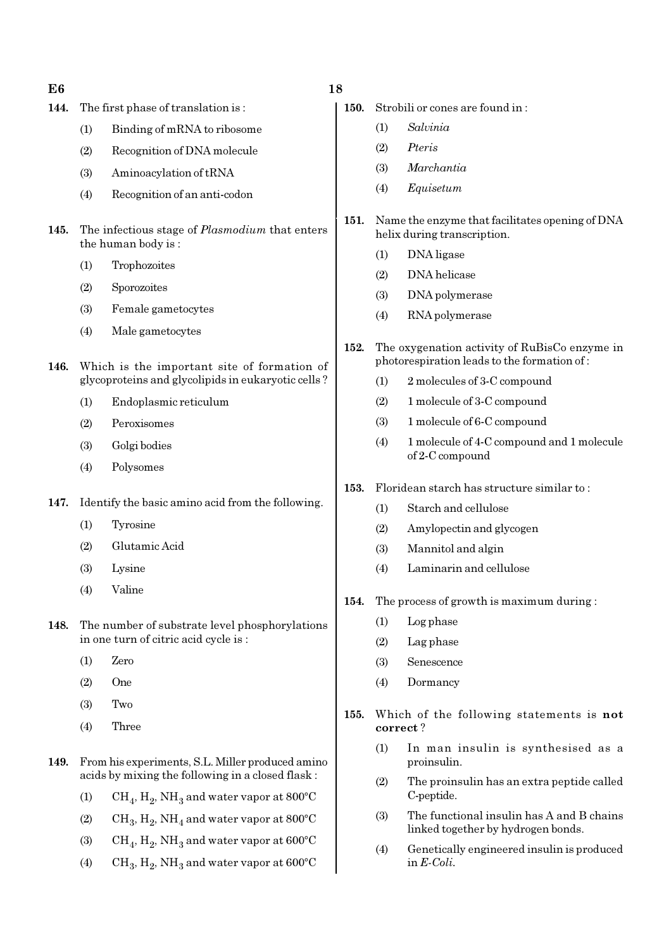| E6   |     |                                                                                                      | 18  |
|------|-----|------------------------------------------------------------------------------------------------------|-----|
| 144. |     | The first phase of translation is:                                                                   | 150 |
|      | (1) | Binding of mRNA to ribosome                                                                          |     |
|      | (2) | Recognition of DNA molecule                                                                          |     |
|      | (3) | Aminoacylation of tRNA                                                                               |     |
|      | (4) | Recognition of an anti-codon                                                                         |     |
| 145. |     | The infectious stage of <i>Plasmodium</i> that enters<br>the human body is:                          | 151 |
|      | (1) | Trophozoites                                                                                         |     |
|      | (2) | Sporozoites                                                                                          |     |
|      | (3) | Female gametocytes                                                                                   |     |
|      | (4) | Male gametocytes                                                                                     |     |
|      |     |                                                                                                      | 152 |
| 146. |     | Which is the important site of formation of<br>glycoproteins and glycolipids in eukaryotic cells?    |     |
|      | (1) | Endoplasmic reticulum                                                                                |     |
|      | (2) | Peroxisomes                                                                                          |     |
|      | (3) | Golgi bodies                                                                                         |     |
|      | (4) | Polysomes                                                                                            |     |
|      |     |                                                                                                      | 153 |
| 147. |     | Identify the basic amino acid from the following.                                                    |     |
|      | (1) | Tyrosine                                                                                             |     |
|      | (2) | Glutamic Acid                                                                                        |     |
|      | (3) | Lysine                                                                                               |     |
|      | (4) | Valine                                                                                               | 154 |
| 148. |     | The number of substrate level phosphorylations<br>in one turn of citric acid cycle is:               |     |
|      | (1) | Zero                                                                                                 |     |
|      | (2) | One                                                                                                  |     |
|      | (3) | Two                                                                                                  |     |
|      | (4) | Three                                                                                                | 155 |
| 149. |     | From his experiments, S.L. Miller produced amino<br>acids by mixing the following in a closed flask: |     |
|      | (1) | $\rm CH_{4}$ , $\rm H_{2}$ , NH <sub>3</sub> and water vapor at 800°C                                |     |
|      |     |                                                                                                      |     |

- (2)  $\mathrm{CH}_3, \mathrm{H}_2, \mathrm{NH}_4$  and water vapor at 800°C
- (3)  $\mathrm{CH}_4, \mathrm{H}_2, \mathrm{NH}_3$  and water vapor at 600°C
- (4) CH<sub>3</sub>, H<sub>2</sub>, NH<sub>3</sub> and water vapor at 600°C
- **1.** Strobili or cones are found in :
	- (1) Salvinia
	- (2) Pteris
	- (3) Marchantia
	- (4) Equisetum
- 1. Name the enzyme that facilitates opening of DNA helix during transcription.
	- (1) DNA ligase
	- (2) DNA helicase
	- (3) DNA polymerase
	- (4) RNA polymerase
- 2. The oxygenation activity of RuBisCo enzyme in photorespiration leads to the formation of :
	- (1) 2 molecules of 3-C compound
	- (2) 1 molecule of 3-C compound
	- (3) 1 molecule of 6-C compound
	- (4) 1 molecule of 4-C compound and 1 molecule of 2-C compound
- 3. Floridean starch has structure similar to :
	- (1) Starch and cellulose
	- (2) Amylopectin and glycogen
	- (3) Mannitol and algin
	- (4) Laminarin and cellulose
- 1. The process of growth is maximum during :
	- (1) Log phase
	- (2) Lag phase
	- (3) Senescence
	- (4) Dormancy
- 5. Which of the following statements is not correct ?
	- (1) In man insulin is synthesised as a proinsulin.
	- (2) The proinsulin has an extra peptide called C-peptide.
	- (3) The functional insulin has A and B chains linked together by hydrogen bonds.
	- (4) Genetically engineered insulin is produced in E-Coli.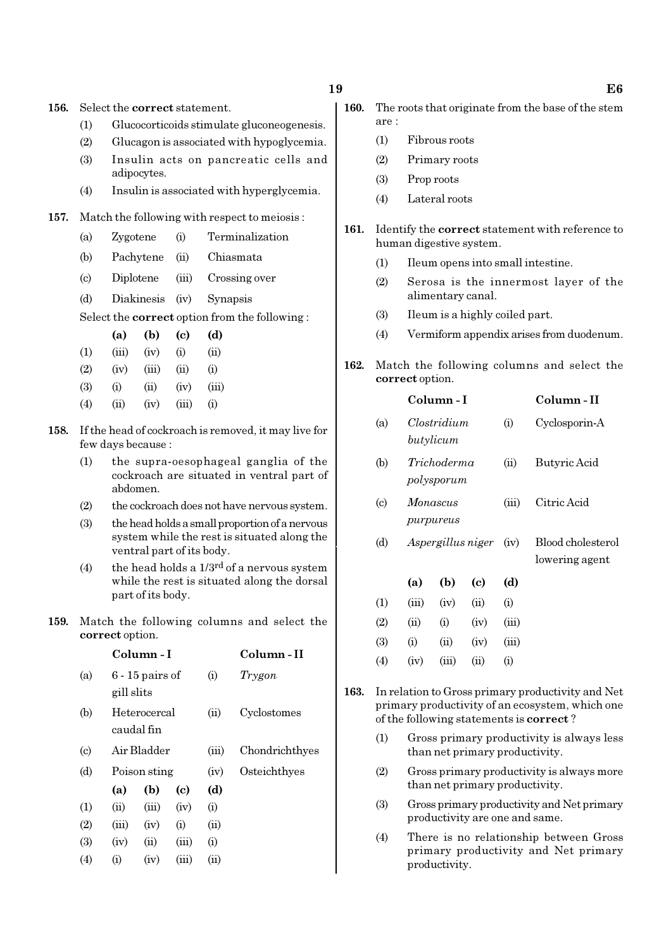156. Select the correct statement.

- (1) Glucocorticoids stimulate gluconeogenesis.
- (2) Glucagon is associated with hypoglycemia.
- (3) Insulin acts on pancreatic cells and adipocytes.
- (4) Insulin is associated with hyperglycemia.

#### 157. Match the following with respect to meiosis :

- (a) Zygotene (i) Terminalization
- (b) Pachytene (ii) Chiasmata
- (c) Diplotene (iii) Crossing over
- (d) Diakinesis (iv) Synapsis

Select the correct option from the following :

|                   | (a)   | (b)   | (c)   | (d)       |
|-------------------|-------|-------|-------|-----------|
| $\rm(1)$          | (iii) | (iv)  | (i)   | (ii)      |
| (2)               | (iv)  | (iii) | (ii)  | $\rm(i)$  |
| (3)               | (i)   | (i)   | (iv)  | (iii)     |
| $\left( 4\right)$ | (ii)  | (iv)  | (iii) | $\rm (i)$ |

- 158. If the head of cockroach is removed, it may live for few days because :
	- (1) the supra-oesophageal ganglia of the cockroach are situated in ventral part of abdomen.
	- (2) the cockroach does not have nervous system.
	- (3) the head holds a small proportion of a nervous system while the rest is situated along the ventral part of its body.
	- (4) the head holds a  $1/3^{rd}$  of a nervous system while the rest is situated along the dorsal part of its body.
- 159. Match the following columns and select the correct option.

|                            |            | Column - I                 | Column - II |          |                |
|----------------------------|------------|----------------------------|-------------|----------|----------------|
| (a)                        | gill slits | $6 - 15$ pairs of          |             | $\rm(i)$ | Trygon         |
| (b)                        |            | Heterocercal<br>caudal fin |             | (ii)     | Cyclostomes    |
| $\left( \mathrm{c}\right)$ |            | Air Bladder                |             | (iii)    | Chondrichthyes |
| (d)                        |            | Poison sting               |             | (iv)     | Osteichthyes   |
|                            | (a)        | (b)                        | (c)         | (d)      |                |
| (1)                        | (ii)       | (iii)                      | (iv)        | $\rm(i)$ |                |
| (2)                        | (iii)      | (iv)                       | (i)         | (ii)     |                |
| (3)                        | (iv)       | (ii)                       | (iii)       | $\rm(i)$ |                |
| (4)                        | (i)        | (iv)                       | (iii)       | (ii)     |                |
|                            |            |                            |             |          |                |

- 160. The roots that originate from the base of the stem are :
	- (1) Fibrous roots
	- (2) Primary roots
	- (3) Prop roots
	- (4) Lateral roots
- 161. Identify the **correct** statement with reference to human digestive system.
	- (1) Ileum opens into small intestine.
	- (2) Serosa is the innermost layer of the alimentary canal.
	- (3) Ileum is a highly coiled part.
	- (4) Vermiform appendix arises from duodenum.
- 162. Match the following columns and select the correct option.

| Clostridium<br>Cyclosporin-A<br>(a)<br>(i)<br>butylicum<br>(b)<br>Trichoderma<br>(ii)<br>Butyric Acid<br>polysporum<br>Citric Acid<br>$\left( \mathrm{c}\right)$<br>(iii)<br>Monascus<br>purpureus<br>(d)<br>Aspergillus niger<br>(iv)<br>lowering agent<br>(b)<br>$\left( \mathrm{c} \right)$<br>(d)<br>(a)<br>(ii)<br>(1)<br>(iii)<br>(iv)<br>(i)<br>(2)<br>(iii)<br>(ii)<br>(i)<br>(iv)<br>(3)<br>(i)<br>(ii)<br>(iii)<br>(iv) |     |      | Column - I |      |     | Column - II       |  |  |  |  |
|-----------------------------------------------------------------------------------------------------------------------------------------------------------------------------------------------------------------------------------------------------------------------------------------------------------------------------------------------------------------------------------------------------------------------------------|-----|------|------------|------|-----|-------------------|--|--|--|--|
|                                                                                                                                                                                                                                                                                                                                                                                                                                   |     |      |            |      |     |                   |  |  |  |  |
|                                                                                                                                                                                                                                                                                                                                                                                                                                   |     |      |            |      |     |                   |  |  |  |  |
|                                                                                                                                                                                                                                                                                                                                                                                                                                   |     |      |            |      |     |                   |  |  |  |  |
|                                                                                                                                                                                                                                                                                                                                                                                                                                   |     |      |            |      |     | Blood cholesterol |  |  |  |  |
|                                                                                                                                                                                                                                                                                                                                                                                                                                   |     |      |            |      |     |                   |  |  |  |  |
|                                                                                                                                                                                                                                                                                                                                                                                                                                   |     |      |            |      |     |                   |  |  |  |  |
|                                                                                                                                                                                                                                                                                                                                                                                                                                   |     |      |            |      |     |                   |  |  |  |  |
|                                                                                                                                                                                                                                                                                                                                                                                                                                   |     |      |            |      |     |                   |  |  |  |  |
|                                                                                                                                                                                                                                                                                                                                                                                                                                   | (4) | (iv) | (iii)      | (ii) | (i) |                   |  |  |  |  |

- 163. In relation to Gross primary productivity and Net primary productivity of an ecosystem, which one of the following statements is correct ?
	- (1) Gross primary productivity is always less than net primary productivity.
	- (2) Gross primary productivity is always more than net primary productivity.
	- (3) Gross primary productivity and Net primary productivity are one and same.
	- (4) There is no relationship between Gross primary productivity and Net primary productivity.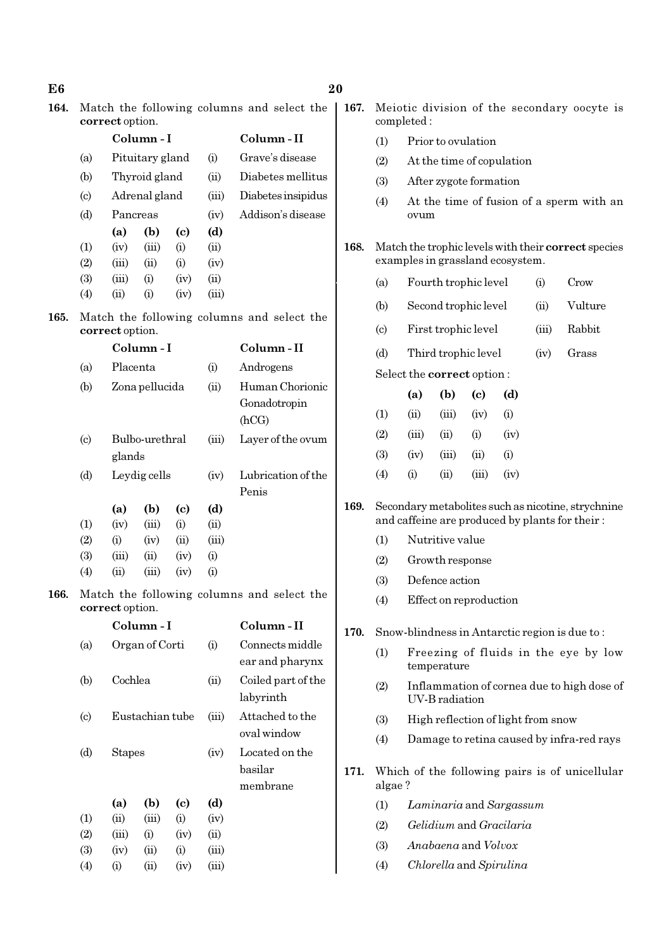| E <sub>6</sub> |                           |                                                                                                      |                 |                            |               |                                            | 20                                                                  |                                                            |                                                                                         |                      |                                                                                                      |      |               |                                          |  |  |
|----------------|---------------------------|------------------------------------------------------------------------------------------------------|-----------------|----------------------------|---------------|--------------------------------------------|---------------------------------------------------------------------|------------------------------------------------------------|-----------------------------------------------------------------------------------------|----------------------|------------------------------------------------------------------------------------------------------|------|---------------|------------------------------------------|--|--|
| 164.           |                           | correct option.                                                                                      |                 |                            |               | Match the following columns and select the | 167.                                                                | Meiotic division of the secondary oocyte is<br>completed:  |                                                                                         |                      |                                                                                                      |      |               |                                          |  |  |
|                |                           |                                                                                                      | Column-I        |                            |               | Column-II                                  |                                                                     |                                                            | Prior to ovulation<br>(1)                                                               |                      |                                                                                                      |      |               |                                          |  |  |
|                | (a)                       |                                                                                                      | Pituitary gland |                            | (i)           | Grave's disease                            |                                                                     | (2)                                                        | At the time of copulation                                                               |                      |                                                                                                      |      |               |                                          |  |  |
|                | (b)                       | Thyroid gland<br>(ii)<br>Adrenal gland<br>(iii)                                                      |                 |                            |               | Diabetes mellitus                          |                                                                     | (3)                                                        | After zygote formation                                                                  |                      |                                                                                                      |      |               |                                          |  |  |
|                | $\left( \circ \right)$    |                                                                                                      |                 |                            |               | Diabetes insipidus                         |                                                                     | (4)                                                        |                                                                                         |                      |                                                                                                      |      |               | At the time of fusion of a sperm with an |  |  |
|                | (d)                       | Pancreas                                                                                             |                 |                            | (iv)          | Addison's disease                          |                                                                     | ovum                                                       |                                                                                         |                      |                                                                                                      |      |               |                                          |  |  |
|                |                           | (a)                                                                                                  | (b)             | $\left( \mathrm{c}\right)$ | (d)           |                                            |                                                                     |                                                            | Match the trophic levels with their correct species<br>examples in grassland ecosystem. |                      |                                                                                                      |      |               |                                          |  |  |
|                | (1)<br>(2)                | (iv)<br>(iii)                                                                                        | (iii)<br>(ii)   | (i)<br>(i)                 | (ii)<br>(iv)  |                                            | 168.                                                                |                                                            |                                                                                         |                      |                                                                                                      |      |               |                                          |  |  |
|                | (3)                       | (iii)                                                                                                | (i)             | (iv)                       | (ii)          |                                            |                                                                     | (a)                                                        |                                                                                         | Fourth trophic level |                                                                                                      |      | (i)           | Crow                                     |  |  |
|                | (4)                       | (ii)                                                                                                 | (i)             | (iv)                       | (iii)         |                                            |                                                                     |                                                            |                                                                                         |                      |                                                                                                      |      |               |                                          |  |  |
| 165.           |                           | correct option.                                                                                      |                 |                            |               | Match the following columns and select the |                                                                     | (b)<br>$\left( \mathrm{c} \right)$                         |                                                                                         | Second trophic level |                                                                                                      |      | (ii)<br>(iii) | Vulture<br>Rabbit                        |  |  |
|                |                           |                                                                                                      | Column-I        |                            |               | Column-II                                  |                                                                     |                                                            |                                                                                         | First trophic level  |                                                                                                      |      |               |                                          |  |  |
|                | (a)                       | Placenta                                                                                             |                 |                            | (i)           | Androgens                                  |                                                                     | (d)                                                        | Third trophic level<br>Grass<br>(iv)                                                    |                      |                                                                                                      |      |               |                                          |  |  |
|                | (b)                       |                                                                                                      | Zona pellucida  |                            | (ii)          | Human Chorionic                            |                                                                     |                                                            | Select the correct option:                                                              |                      |                                                                                                      |      |               |                                          |  |  |
|                |                           |                                                                                                      |                 |                            |               | Gonadotropin                               |                                                                     |                                                            | (a)                                                                                     | (b)                  | $\left( \mathrm{c}\right)$                                                                           | (d)  |               |                                          |  |  |
|                |                           |                                                                                                      |                 |                            |               | (hCG)                                      |                                                                     | (1)                                                        | (ii)                                                                                    | (iii)                | (iv)                                                                                                 | (i)  |               |                                          |  |  |
|                | $\left( \text{c} \right)$ | Bulbo-urethral<br>(iii)                                                                              |                 |                            |               | Layer of the ovum                          |                                                                     | (2)                                                        | (iii)                                                                                   | (ii)                 | (i)                                                                                                  | (iv) |               |                                          |  |  |
|                | glands                    |                                                                                                      |                 |                            |               |                                            |                                                                     | (3)                                                        | (iv)                                                                                    | (iii)                | (ii)                                                                                                 | (i)  |               |                                          |  |  |
|                | (d)                       | Leydig cells                                                                                         |                 |                            | (iv)          | Lubrication of the<br>Penis                |                                                                     | (4)                                                        | (i)                                                                                     | (ii)                 | (iii)                                                                                                | (iv) |               |                                          |  |  |
|                |                           | (a)                                                                                                  | (b)             | $\left( \mathrm{c}\right)$ | (d)           |                                            | 169.                                                                |                                                            |                                                                                         |                      | Secondary metabolites such as nicotine, strychnine<br>and caffeine are produced by plants for their: |      |               |                                          |  |  |
|                | (1)<br>(2)                | (iv)<br>(i)                                                                                          | (iii)<br>(iv)   | (i)<br>(ii)                | (ii)<br>(iii) |                                            |                                                                     | (1)                                                        | Nutritive value                                                                         |                      |                                                                                                      |      |               |                                          |  |  |
|                | (3)                       | (iii)                                                                                                | (ii)            | (iv)                       | (i)           |                                            |                                                                     |                                                            | (2)<br>Growth response<br>Defence action<br>(3)                                         |                      |                                                                                                      |      |               |                                          |  |  |
|                | (4)                       | (ii)                                                                                                 | (iii)           | (iv)                       | (i)           |                                            |                                                                     |                                                            |                                                                                         |                      |                                                                                                      |      |               |                                          |  |  |
| 166.           |                           |                                                                                                      |                 |                            |               | Match the following columns and select the |                                                                     | Effect on reproduction<br>(4)                              |                                                                                         |                      |                                                                                                      |      |               |                                          |  |  |
|                |                           | correct option.                                                                                      | Column-I        |                            |               | Column-II                                  |                                                                     |                                                            |                                                                                         |                      |                                                                                                      |      |               |                                          |  |  |
|                |                           |                                                                                                      |                 |                            |               | Connects middle                            | 170.                                                                | Snow-blindness in Antarctic region is due to:              |                                                                                         |                      |                                                                                                      |      |               |                                          |  |  |
|                | (a)                       | Organ of Corti<br>(i)<br>Cochlea<br>(ii)<br>labyrinth<br>Attached to the<br>Eustachian tube<br>(iii) |                 |                            |               | ear and pharynx                            |                                                                     | (1)<br>Freezing of fluids in the eye by low<br>temperature |                                                                                         |                      |                                                                                                      |      |               |                                          |  |  |
|                | (b)                       |                                                                                                      |                 |                            |               | Coiled part of the                         | Inflammation of cornea due to high dose of<br>(2)<br>UV-B radiation |                                                            |                                                                                         |                      |                                                                                                      |      |               |                                          |  |  |
|                | (c)                       |                                                                                                      |                 |                            | oval window   |                                            | (3)                                                                 | High reflection of light from snow                         |                                                                                         |                      |                                                                                                      |      |               |                                          |  |  |
|                | (d)                       | <b>Stapes</b>                                                                                        |                 |                            | (iv)          | Located on the                             |                                                                     |                                                            | Damage to retina caused by infra-red rays<br>(4)                                        |                      |                                                                                                      |      |               |                                          |  |  |
|                |                           |                                                                                                      |                 |                            |               | basilar                                    |                                                                     | 171.                                                       |                                                                                         |                      |                                                                                                      |      |               |                                          |  |  |
|                |                           |                                                                                                      |                 |                            |               | membrane                                   |                                                                     |                                                            | Which of the following pairs is of unicellular<br>algae?<br>Laminaria and Sargassum     |                      |                                                                                                      |      |               |                                          |  |  |
|                |                           | (a)                                                                                                  | (b)             | $\left( \mathrm{c}\right)$ | (d)           |                                            |                                                                     | (1)                                                        |                                                                                         |                      |                                                                                                      |      |               |                                          |  |  |
|                | (1)<br>(2)                | (ii)<br>(iii)                                                                                        | (iii)<br>(i)    | (i)<br>(iv)                | (iv)<br>(ii)  |                                            |                                                                     | (2)                                                        | Gelidium and Gracilaria                                                                 |                      |                                                                                                      |      |               |                                          |  |  |
|                | (3)                       | (iv)                                                                                                 | (ii)            | (i)                        | (iii)         |                                            |                                                                     | (3)                                                        | Anabaena and Volvox                                                                     |                      |                                                                                                      |      |               |                                          |  |  |
|                | (4)                       | (i)                                                                                                  | (ii)            | (iv)                       | (iii)         |                                            |                                                                     | Chlorella and Spirulina<br>(4)                             |                                                                                         |                      |                                                                                                      |      |               |                                          |  |  |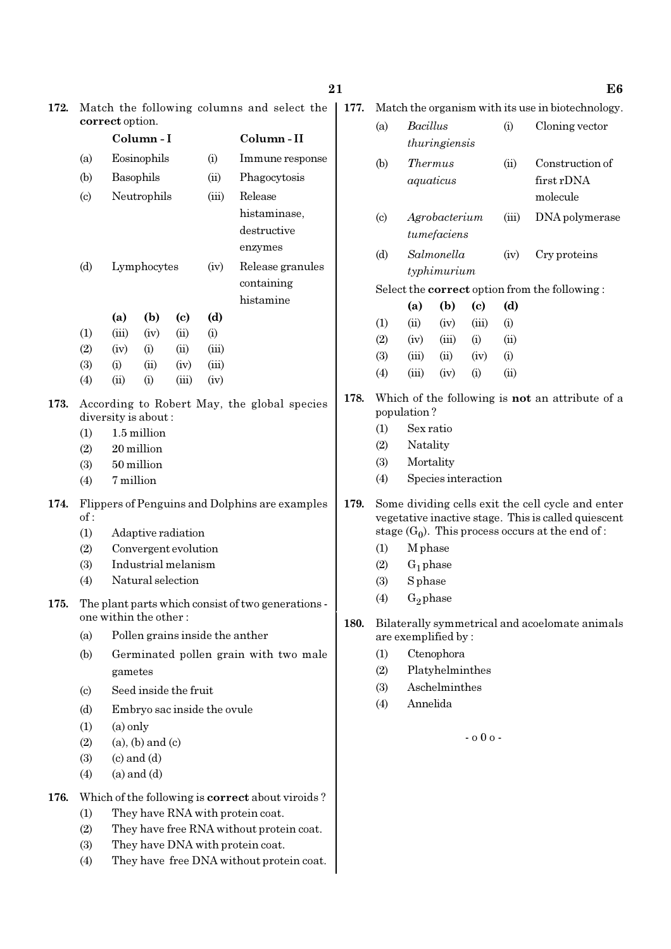| 172. | Match the following columns and select the                         |                                  |                                          |                             |                |                                                         |      | Match the organism with its use in biotechnology.    |                                                   |                 |                            |              |                                                        |  |  |
|------|--------------------------------------------------------------------|----------------------------------|------------------------------------------|-----------------------------|----------------|---------------------------------------------------------|------|------------------------------------------------------|---------------------------------------------------|-----------------|----------------------------|--------------|--------------------------------------------------------|--|--|
|      |                                                                    | correct option.                  |                                          |                             |                |                                                         |      | <b>Bacillus</b><br>(a)                               |                                                   |                 |                            | (i)          | Cloning vector                                         |  |  |
|      | Column-I                                                           |                                  |                                          |                             |                | Column-II                                               |      |                                                      |                                                   | thuringiensis   |                            |              |                                                        |  |  |
|      | (a)                                                                |                                  | Eosinophils                              |                             | (i)            | Immune response                                         |      | (b)                                                  | <b>Thermus</b>                                    |                 |                            | (ii)         | Construction of                                        |  |  |
|      | (b)                                                                | Basophils<br>(ii)                |                                          | Phagocytosis                |                |                                                         |      | aquaticus                                            |                                                   |                 | first rDNA                 |              |                                                        |  |  |
|      | $\left( \mathrm{c}\right)$                                         |                                  | Neutrophils                              |                             | (iii)          | Release                                                 |      |                                                      |                                                   |                 |                            | molecule     |                                                        |  |  |
|      |                                                                    | histaminase,                     |                                          |                             |                |                                                         |      | $\left( \circ \right)$                               |                                                   | Agrobacterium   |                            |              | DNA polymerase                                         |  |  |
|      |                                                                    |                                  |                                          |                             |                | destructive                                             |      |                                                      |                                                   | tumefaciens     |                            |              |                                                        |  |  |
|      |                                                                    |                                  |                                          |                             |                | enzymes<br>Release granules                             | (d)  |                                                      | Salmonella                                        |                 | (iv)                       | Cry proteins |                                                        |  |  |
|      | (d)                                                                |                                  | Lymphocytes                              |                             | (iv)           |                                                         |      | typhimurium                                          |                                                   |                 |                            |              |                                                        |  |  |
|      |                                                                    |                                  |                                          |                             |                | containing                                              |      | Select the <b>correct</b> option from the following: |                                                   |                 |                            |              |                                                        |  |  |
|      |                                                                    |                                  |                                          |                             |                | histamine                                               |      |                                                      | (a)                                               | (b)             | $\left( \mathrm{e}\right)$ | (d)          |                                                        |  |  |
|      |                                                                    | (a)                              | (b)                                      | $\left( \mathbf{c} \right)$ | (d)            |                                                         |      | (1)                                                  | (ii)                                              | (iv)            | (iii)                      | (i)          |                                                        |  |  |
|      | (1)                                                                | (iii)                            | (iv)                                     | (ii)                        | (i)            |                                                         |      | (2)                                                  | (iv)                                              | (iii)           | (i)                        | (ii)         |                                                        |  |  |
|      | (2)<br>(3)                                                         | (iv)<br>(i)                      | (i)                                      | (ii)                        | (iii)<br>(iii) |                                                         |      | (3)                                                  | (iii)                                             | (ii)            | (iv)                       | (i)          |                                                        |  |  |
|      | (4)                                                                | (ii)                             | (ii)<br>(i)                              | (iv)<br>(iii)               | (iv)           |                                                         |      | (4)                                                  | (iii)                                             | (iv)            | (i)                        | (ii)         |                                                        |  |  |
|      |                                                                    |                                  |                                          |                             |                |                                                         | 178. |                                                      |                                                   |                 |                            |              | Which of the following is <b>not</b> an attribute of a |  |  |
| 173. | According to Robert May, the global species<br>diversity is about: |                                  |                                          |                             |                |                                                         |      |                                                      | population?                                       |                 |                            |              |                                                        |  |  |
|      | (1)                                                                |                                  | 1.5 million                              |                             |                |                                                         |      | (1)                                                  | Sex ratio                                         |                 |                            |              |                                                        |  |  |
|      | (2)                                                                |                                  | 20 million                               |                             |                |                                                         |      | (2)                                                  | Natality                                          |                 |                            |              |                                                        |  |  |
|      | (3)                                                                |                                  | 50 million                               |                             |                |                                                         |      | (3)                                                  | Mortality                                         |                 |                            |              |                                                        |  |  |
|      | (4)                                                                | 7 million                        |                                          |                             |                |                                                         |      | (4)                                                  | Species interaction                               |                 |                            |              |                                                        |  |  |
| 174. | Flippers of Penguins and Dolphins are examples                     |                                  |                                          |                             |                |                                                         |      |                                                      | Some dividing cells exit the cell cycle and enter |                 |                            |              |                                                        |  |  |
|      | of:                                                                |                                  |                                          |                             |                |                                                         |      |                                                      |                                                   |                 |                            |              | vegetative inactive stage. This is called quiescent    |  |  |
|      | (1)                                                                |                                  | Adaptive radiation                       |                             |                |                                                         |      |                                                      |                                                   |                 |                            |              | stage $(G_0)$ . This process occurs at the end of :    |  |  |
|      | (2)                                                                |                                  | Convergent evolution                     |                             |                |                                                         |      | (1)                                                  | M phase                                           |                 |                            |              |                                                        |  |  |
|      | (3)<br>(4)                                                         |                                  | Industrial melanism<br>Natural selection |                             |                |                                                         |      | (2)                                                  | $G_1$ phase<br>(3)<br><b>S</b> phase              |                 |                            |              |                                                        |  |  |
|      |                                                                    |                                  |                                          |                             |                |                                                         |      | (4)                                                  | $G_2$ phase                                       |                 |                            |              |                                                        |  |  |
| 175. |                                                                    |                                  | one within the other:                    |                             |                | The plant parts which consist of two generations -      |      |                                                      |                                                   |                 |                            |              |                                                        |  |  |
|      | (a)                                                                |                                  |                                          |                             |                | Pollen grains inside the anther                         | 180. | Bilaterally symmetrical and acoelomate animals       |                                                   |                 |                            |              |                                                        |  |  |
|      | (b)                                                                |                                  |                                          |                             |                | Germinated pollen grain with two male                   |      | are exemplified by:<br>Ctenophora<br>(1)             |                                                   |                 |                            |              |                                                        |  |  |
|      |                                                                    |                                  |                                          |                             |                |                                                         |      | (2)                                                  |                                                   | Platyhelminthes |                            |              |                                                        |  |  |
|      |                                                                    | gametes<br>Seed inside the fruit |                                          |                             |                |                                                         |      | (3)                                                  |                                                   | Aschelminthes   |                            |              |                                                        |  |  |
|      | $\left( \mathrm{c}\right)$                                         |                                  |                                          |                             |                |                                                         |      | (4)                                                  | Annelida                                          |                 |                            |              |                                                        |  |  |
|      | (d)                                                                |                                  | Embryo sac inside the ovule              |                             |                |                                                         |      |                                                      |                                                   |                 |                            |              |                                                        |  |  |
|      | (1)<br>(2)                                                         | $(a)$ only                       | $(a)$ , $(b)$ and $(c)$                  |                             |                |                                                         |      |                                                      | $-000 -$                                          |                 |                            |              |                                                        |  |  |
|      | (3)                                                                |                                  | $(c)$ and $(d)$                          |                             |                |                                                         |      |                                                      |                                                   |                 |                            |              |                                                        |  |  |
|      | (4)                                                                |                                  | $(a)$ and $(d)$                          |                             |                |                                                         |      |                                                      |                                                   |                 |                            |              |                                                        |  |  |
| 176. |                                                                    |                                  |                                          |                             |                | Which of the following is <b>correct</b> about viroids? |      |                                                      |                                                   |                 |                            |              |                                                        |  |  |
|      | (1)                                                                |                                  |                                          |                             |                | They have RNA with protein coat.                        |      |                                                      |                                                   |                 |                            |              |                                                        |  |  |
|      | (2)                                                                |                                  |                                          |                             |                | They have free RNA without protein coat.                |      |                                                      |                                                   |                 |                            |              |                                                        |  |  |
|      | (3)                                                                |                                  |                                          |                             |                | They have DNA with protein coat.                        |      |                                                      |                                                   |                 |                            |              |                                                        |  |  |
|      | (4)                                                                |                                  |                                          |                             |                | They have free DNA without protein coat.                |      |                                                      |                                                   |                 |                            |              |                                                        |  |  |
|      |                                                                    |                                  |                                          |                             |                |                                                         |      |                                                      |                                                   |                 |                            |              |                                                        |  |  |

21 Better than  $21$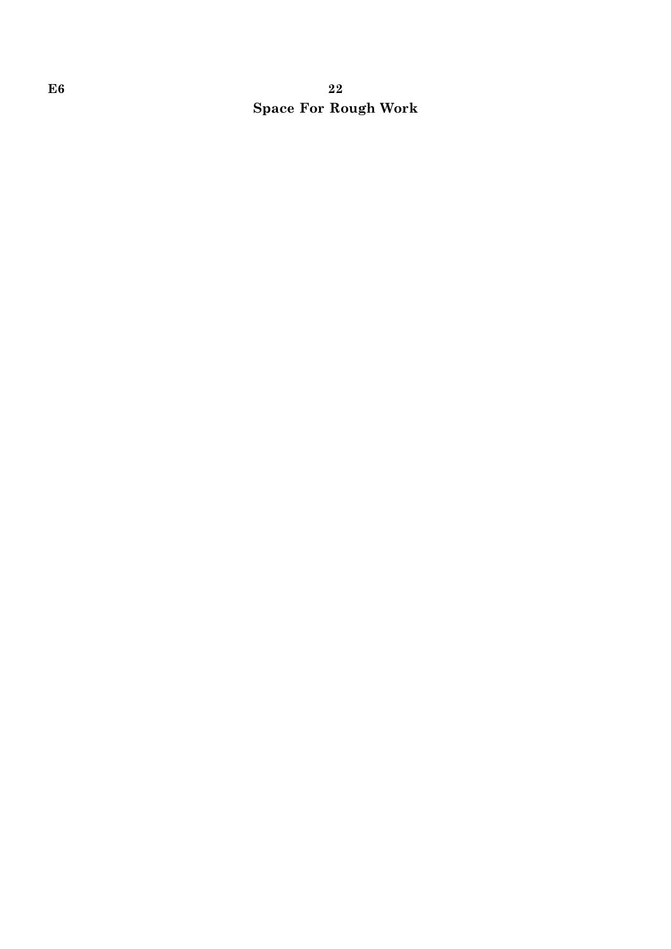# $E6$  and  $22$ Space For Rough Work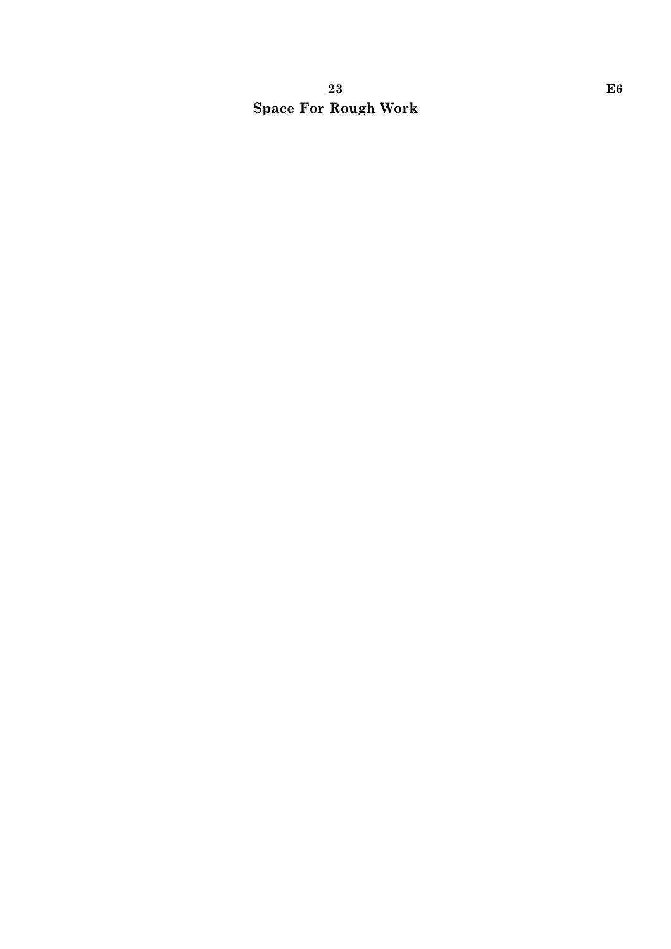# 23 E6 Space For Rough Work